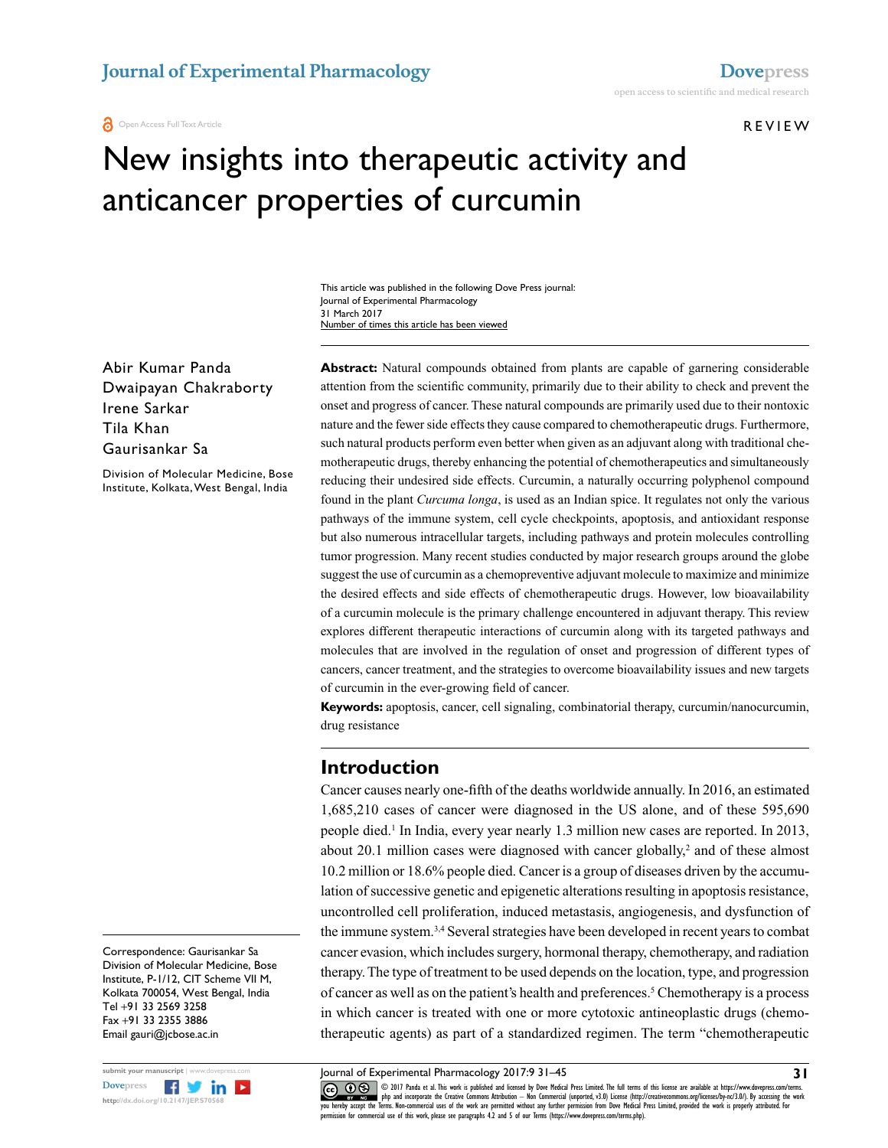**O** Open Access Full Text Article

**REVIEW** 

# New insights into therapeutic activity and anticancer properties of curcumin

This article was published in the following Dove Press journal: Journal of Experimental Pharmacology 31 March 2017 Number of times this article has been viewed

Abir Kumar Panda Dwaipayan Chakraborty Irene Sarkar Tila Khan Gaurisankar Sa

Division of Molecular Medicine, Bose Institute, Kolkata, West Bengal, India

**Abstract:** Natural compounds obtained from plants are capable of garnering considerable attention from the scientific community, primarily due to their ability to check and prevent the onset and progress of cancer. These natural compounds are primarily used due to their nontoxic nature and the fewer side effects they cause compared to chemotherapeutic drugs. Furthermore, such natural products perform even better when given as an adjuvant along with traditional chemotherapeutic drugs, thereby enhancing the potential of chemotherapeutics and simultaneously reducing their undesired side effects. Curcumin, a naturally occurring polyphenol compound found in the plant *Curcuma longa*, is used as an Indian spice. It regulates not only the various pathways of the immune system, cell cycle checkpoints, apoptosis, and antioxidant response but also numerous intracellular targets, including pathways and protein molecules controlling tumor progression. Many recent studies conducted by major research groups around the globe suggest the use of curcumin as a chemopreventive adjuvant molecule to maximize and minimize the desired effects and side effects of chemotherapeutic drugs. However, low bioavailability of a curcumin molecule is the primary challenge encountered in adjuvant therapy. This review explores different therapeutic interactions of curcumin along with its targeted pathways and molecules that are involved in the regulation of onset and progression of different types of cancers, cancer treatment, and the strategies to overcome bioavailability issues and new targets of curcumin in the ever-growing field of cancer.

**Keywords:** apoptosis, cancer, cell signaling, combinatorial therapy, curcumin/nanocurcumin, drug resistance

#### **Introduction**

Cancer causes nearly one-fifth of the deaths worldwide annually. In 2016, an estimated 1,685,210 cases of cancer were diagnosed in the US alone, and of these 595,690 people died.<sup>1</sup> In India, every year nearly 1.3 million new cases are reported. In 2013, about 20.1 million cases were diagnosed with cancer globally,<sup>2</sup> and of these almost 10.2 million or 18.6% people died. Cancer is a group of diseases driven by the accumulation of successive genetic and epigenetic alterations resulting in apoptosis resistance, uncontrolled cell proliferation, induced metastasis, angiogenesis, and dysfunction of the immune system.3,4 Several strategies have been developed in recent years to combat cancer evasion, which includes surgery, hormonal therapy, chemotherapy, and radiation therapy. The type of treatment to be used depends on the location, type, and progression of cancer as well as on the patient's health and preferences.<sup>5</sup> Chemotherapy is a process in which cancer is treated with one or more cytotoxic antineoplastic drugs (chemotherapeutic agents) as part of a standardized regimen. The term "chemotherapeutic

Division of Molecular Medicine, Bose Institute, P-1/12, CIT Scheme VII M, Kolkata 700054, West Bengal, India Tel +91 33 2569 3258 Fax +91 33 2355 3886 Email gauri@jcbose.ac.in

Correspondence: Gaurisankar Sa



COM DIT Panda et al. This work is published and licensed by Dove Medical Press Limited. The full terms of this license are available at https://www.dovepress.com/terms.<br>Vou hereby accept the Terms. Non-commercial uses of t permission for commercial use of this work, please see paragraphs 4.2 and 5 of our Terms (https://www.dovepress.com/terms.php).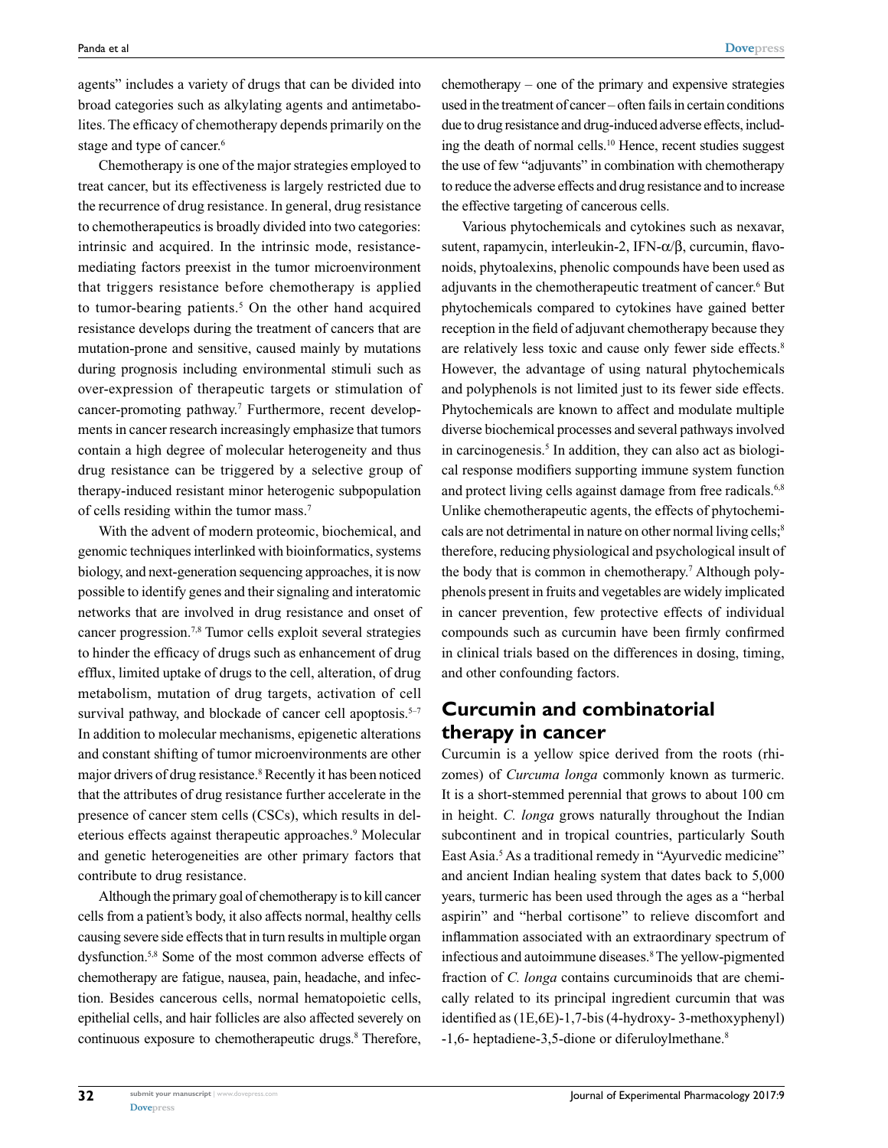agents" includes a variety of drugs that can be divided into broad categories such as alkylating agents and antimetabolites. The efficacy of chemotherapy depends primarily on the stage and type of cancer.<sup>6</sup>

Chemotherapy is one of the major strategies employed to treat cancer, but its effectiveness is largely restricted due to the recurrence of drug resistance. In general, drug resistance to chemotherapeutics is broadly divided into two categories: intrinsic and acquired. In the intrinsic mode, resistancemediating factors preexist in the tumor microenvironment that triggers resistance before chemotherapy is applied to tumor-bearing patients.<sup>5</sup> On the other hand acquired resistance develops during the treatment of cancers that are mutation-prone and sensitive, caused mainly by mutations during prognosis including environmental stimuli such as over-expression of therapeutic targets or stimulation of cancer-promoting pathway.<sup>7</sup> Furthermore, recent developments in cancer research increasingly emphasize that tumors contain a high degree of molecular heterogeneity and thus drug resistance can be triggered by a selective group of therapy-induced resistant minor heterogenic subpopulation of cells residing within the tumor mass.7

With the advent of modern proteomic, biochemical, and genomic techniques interlinked with bioinformatics, systems biology, and next-generation sequencing approaches, it is now possible to identify genes and their signaling and interatomic networks that are involved in drug resistance and onset of cancer progression.7,8 Tumor cells exploit several strategies to hinder the efficacy of drugs such as enhancement of drug efflux, limited uptake of drugs to the cell, alteration, of drug metabolism, mutation of drug targets, activation of cell survival pathway, and blockade of cancer cell apoptosis. $5-7$ In addition to molecular mechanisms, epigenetic alterations and constant shifting of tumor microenvironments are other major drivers of drug resistance.<sup>8</sup> Recently it has been noticed that the attributes of drug resistance further accelerate in the presence of cancer stem cells (CSCs), which results in deleterious effects against therapeutic approaches.<sup>9</sup> Molecular and genetic heterogeneities are other primary factors that contribute to drug resistance.

Although the primary goal of chemotherapy is to kill cancer cells from a patient's body, it also affects normal, healthy cells causing severe side effects that in turn results in multiple organ dysfunction.5,8 Some of the most common adverse effects of chemotherapy are fatigue, nausea, pain, headache, and infection. Besides cancerous cells, normal hematopoietic cells, epithelial cells, and hair follicles are also affected severely on continuous exposure to chemotherapeutic drugs.<sup>8</sup> Therefore, chemotherapy – one of the primary and expensive strategies used in the treatment of cancer – often fails in certain conditions due to drug resistance and drug-induced adverse effects, including the death of normal cells.10 Hence, recent studies suggest the use of few "adjuvants" in combination with chemotherapy to reduce the adverse effects and drug resistance and to increase the effective targeting of cancerous cells.

Various phytochemicals and cytokines such as nexavar, sutent, rapamycin, interleukin-2, IFN-α/β, curcumin, flavonoids, phytoalexins, phenolic compounds have been used as adjuvants in the chemotherapeutic treatment of cancer.<sup>6</sup> But phytochemicals compared to cytokines have gained better reception in the field of adjuvant chemotherapy because they are relatively less toxic and cause only fewer side effects.<sup>8</sup> However, the advantage of using natural phytochemicals and polyphenols is not limited just to its fewer side effects. Phytochemicals are known to affect and modulate multiple diverse biochemical processes and several pathways involved in carcinogenesis.<sup>5</sup> In addition, they can also act as biological response modifiers supporting immune system function and protect living cells against damage from free radicals.<sup>6,8</sup> Unlike chemotherapeutic agents, the effects of phytochemicals are not detrimental in nature on other normal living cells;<sup>8</sup> therefore, reducing physiological and psychological insult of the body that is common in chemotherapy.7 Although polyphenols present in fruits and vegetables are widely implicated in cancer prevention, few protective effects of individual compounds such as curcumin have been firmly confirmed in clinical trials based on the differences in dosing, timing, and other confounding factors.

# **Curcumin and combinatorial therapy in cancer**

Curcumin is a yellow spice derived from the roots (rhizomes) of *Curcuma longa* commonly known as turmeric. It is a short-stemmed perennial that grows to about 100 cm in height. *C. longa* grows naturally throughout the Indian subcontinent and in tropical countries, particularly South East Asia.<sup>5</sup> As a traditional remedy in "Ayurvedic medicine" and ancient Indian healing system that dates back to 5,000 years, turmeric has been used through the ages as a "herbal aspirin" and "herbal cortisone" to relieve discomfort and inflammation associated with an extraordinary spectrum of infectious and autoimmune diseases.8 The yellow-pigmented fraction of *C. longa* contains curcuminoids that are chemically related to its principal ingredient curcumin that was identified as (1E,6E)-1,7-bis (4-hydroxy- 3-methoxyphenyl) -1,6- heptadiene-3,5-dione or diferuloylmethane.8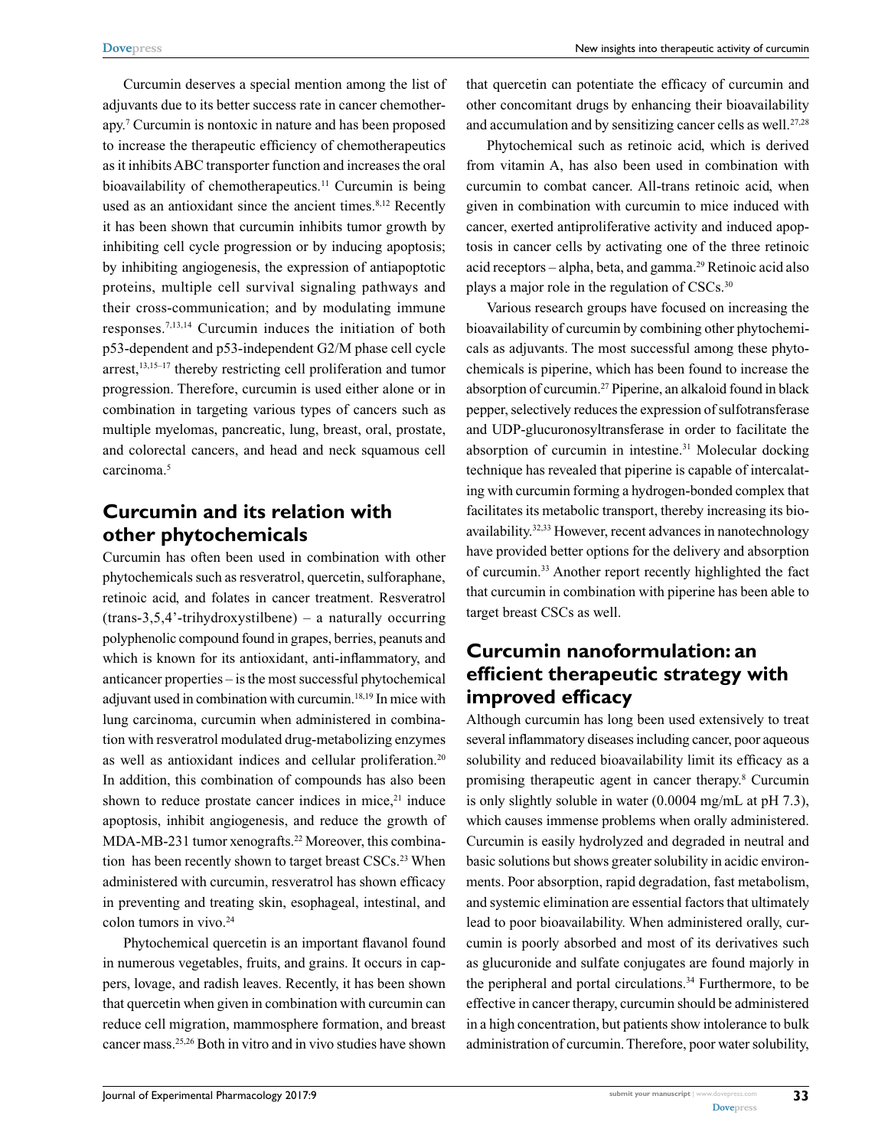Curcumin deserves a special mention among the list of adjuvants due to its better success rate in cancer chemotherapy.7 Curcumin is nontoxic in nature and has been proposed to increase the therapeutic efficiency of chemotherapeutics as it inhibits ABC transporter function and increases the oral bioavailability of chemotherapeutics.<sup>11</sup> Curcumin is being used as an antioxidant since the ancient times.<sup>8,12</sup> Recently it has been shown that curcumin inhibits tumor growth by inhibiting cell cycle progression or by inducing apoptosis; by inhibiting angiogenesis, the expression of antiapoptotic proteins, multiple cell survival signaling pathways and their cross-communication; and by modulating immune responses.7,13,14 Curcumin induces the initiation of both p53-dependent and p53-independent G2/M phase cell cycle arrest,<sup>13,15-17</sup> thereby restricting cell proliferation and tumor progression. Therefore, curcumin is used either alone or in combination in targeting various types of cancers such as multiple myelomas, pancreatic, lung, breast, oral, prostate, and colorectal cancers, and head and neck squamous cell carcinoma.<sup>5</sup>

### **Curcumin and its relation with other phytochemicals**

Curcumin has often been used in combination with other phytochemicals such as resveratrol, quercetin, sulforaphane, retinoic acid, and folates in cancer treatment. Resveratrol (trans-3,5,4'-trihydroxystilbene) – a naturally occurring polyphenolic compound found in grapes, berries, peanuts and which is known for its antioxidant, anti-inflammatory, and anticancer properties – is the most successful phytochemical adjuvant used in combination with curcumin.18,19 In mice with lung carcinoma, curcumin when administered in combination with resveratrol modulated drug-metabolizing enzymes as well as antioxidant indices and cellular proliferation.<sup>20</sup> In addition, this combination of compounds has also been shown to reduce prostate cancer indices in mice, $21$  induce apoptosis, inhibit angiogenesis, and reduce the growth of MDA-MB-231 tumor xenografts.<sup>22</sup> Moreover, this combination has been recently shown to target breast CSCs.<sup>23</sup> When administered with curcumin, resveratrol has shown efficacy in preventing and treating skin, esophageal, intestinal, and colon tumors in vivo.<sup>24</sup>

Phytochemical quercetin is an important flavanol found in numerous vegetables, fruits, and grains. It occurs in cappers, lovage, and radish leaves. Recently, it has been shown that quercetin when given in combination with curcumin can reduce cell migration, mammosphere formation, and breast cancer mass.25,26 Both in vitro and in vivo studies have shown that quercetin can potentiate the efficacy of curcumin and other concomitant drugs by enhancing their bioavailability and accumulation and by sensitizing cancer cells as well. $27,28$ 

Phytochemical such as retinoic acid, which is derived from vitamin A, has also been used in combination with curcumin to combat cancer. All-trans retinoic acid, when given in combination with curcumin to mice induced with cancer, exerted antiproliferative activity and induced apoptosis in cancer cells by activating one of the three retinoic acid receptors – alpha, beta, and gamma.<sup>29</sup> Retinoic acid also plays a major role in the regulation of CSCs.<sup>30</sup>

Various research groups have focused on increasing the bioavailability of curcumin by combining other phytochemicals as adjuvants. The most successful among these phytochemicals is piperine, which has been found to increase the absorption of curcumin.27 Piperine, an alkaloid found in black pepper, selectively reduces the expression of sulfotransferase and UDP-glucuronosyltransferase in order to facilitate the absorption of curcumin in intestine.<sup>31</sup> Molecular docking technique has revealed that piperine is capable of intercalating with curcumin forming a hydrogen-bonded complex that facilitates its metabolic transport, thereby increasing its bioavailability.32,33 However, recent advances in nanotechnology have provided better options for the delivery and absorption of curcumin.33 Another report recently highlighted the fact that curcumin in combination with piperine has been able to target breast CSCs as well.

# **Curcumin nanoformulation: an efficient therapeutic strategy with improved efficacy**

Although curcumin has long been used extensively to treat several inflammatory diseases including cancer, poor aqueous solubility and reduced bioavailability limit its efficacy as a promising therapeutic agent in cancer therapy.8 Curcumin is only slightly soluble in water (0.0004 mg/mL at pH 7.3), which causes immense problems when orally administered. Curcumin is easily hydrolyzed and degraded in neutral and basic solutions but shows greater solubility in acidic environments. Poor absorption, rapid degradation, fast metabolism, and systemic elimination are essential factors that ultimately lead to poor bioavailability. When administered orally, curcumin is poorly absorbed and most of its derivatives such as glucuronide and sulfate conjugates are found majorly in the peripheral and portal circulations.34 Furthermore, to be effective in cancer therapy, curcumin should be administered in a high concentration, but patients show intolerance to bulk administration of curcumin. Therefore, poor water solubility,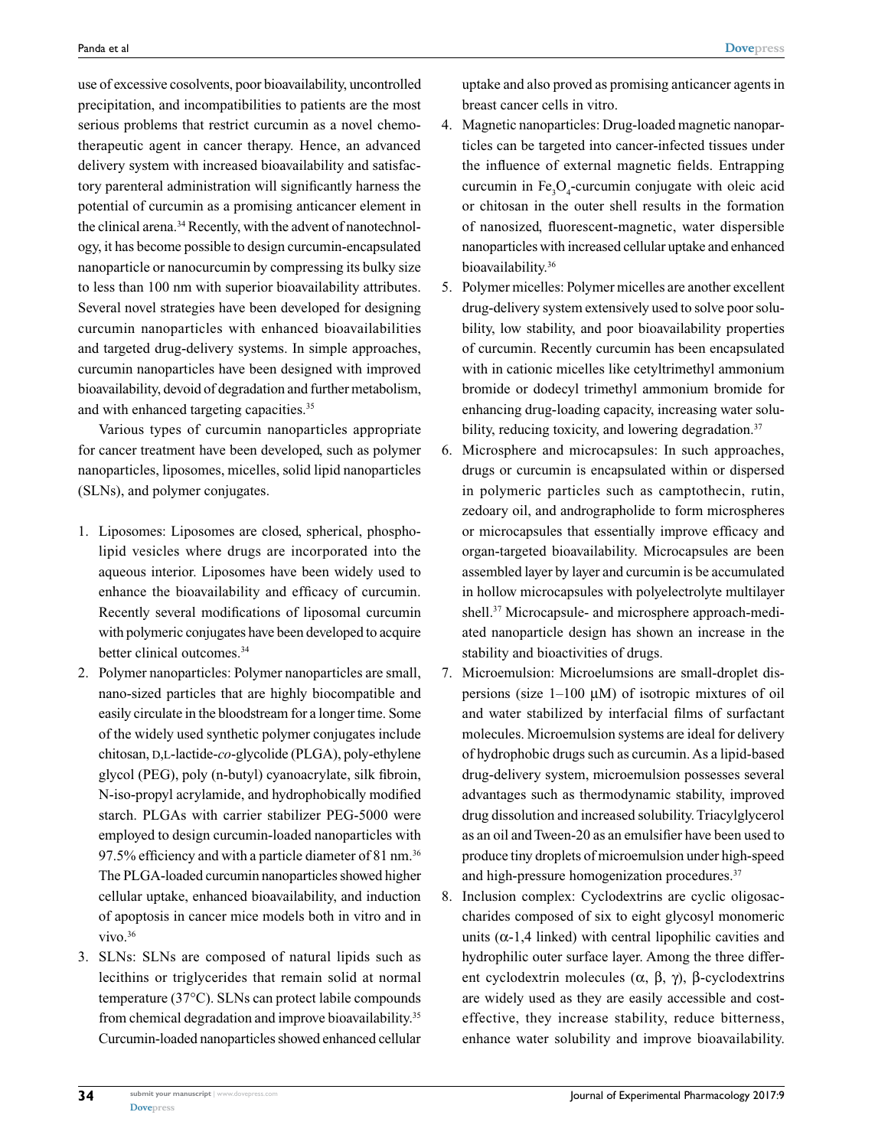use of excessive cosolvents, poor bioavailability, uncontrolled precipitation, and incompatibilities to patients are the most serious problems that restrict curcumin as a novel chemotherapeutic agent in cancer therapy. Hence, an advanced delivery system with increased bioavailability and satisfactory parenteral administration will significantly harness the potential of curcumin as a promising anticancer element in the clinical arena.<sup>34</sup> Recently, with the advent of nanotechnology, it has become possible to design curcumin-encapsulated nanoparticle or nanocurcumin by compressing its bulky size to less than 100 nm with superior bioavailability attributes. Several novel strategies have been developed for designing curcumin nanoparticles with enhanced bioavailabilities and targeted drug-delivery systems. In simple approaches, curcumin nanoparticles have been designed with improved bioavailability, devoid of degradation and further metabolism, and with enhanced targeting capacities.<sup>35</sup>

Various types of curcumin nanoparticles appropriate for cancer treatment have been developed, such as polymer nanoparticles, liposomes, micelles, solid lipid nanoparticles (SLNs), and polymer conjugates.

- 1. Liposomes: Liposomes are closed, spherical, phospholipid vesicles where drugs are incorporated into the aqueous interior. Liposomes have been widely used to enhance the bioavailability and efficacy of curcumin. Recently several modifications of liposomal curcumin with polymeric conjugates have been developed to acquire better clinical outcomes.<sup>34</sup>
- 2. Polymer nanoparticles: Polymer nanoparticles are small, nano-sized particles that are highly biocompatible and easily circulate in the bloodstream for a longer time. Some of the widely used synthetic polymer conjugates include chitosan, D,L-lactide-*co*-glycolide (PLGA), poly-ethylene glycol (PEG), poly (n-butyl) cyanoacrylate, silk fibroin, N-iso-propyl acrylamide, and hydrophobically modified starch. PLGAs with carrier stabilizer PEG-5000 were employed to design curcumin-loaded nanoparticles with 97.5% efficiency and with a particle diameter of 81 nm.<sup>36</sup> The PLGA-loaded curcumin nanoparticles showed higher cellular uptake, enhanced bioavailability, and induction of apoptosis in cancer mice models both in vitro and in  $vivo.<sup>36</sup>$
- 3. SLNs: SLNs are composed of natural lipids such as lecithins or triglycerides that remain solid at normal temperature (37°C). SLNs can protect labile compounds from chemical degradation and improve bioavailability.35 Curcumin-loaded nanoparticles showed enhanced cellular

uptake and also proved as promising anticancer agents in breast cancer cells in vitro.

- 4. Magnetic nanoparticles: Drug-loaded magnetic nanoparticles can be targeted into cancer-infected tissues under the influence of external magnetic fields. Entrapping curcumin in  $Fe<sub>3</sub>O<sub>4</sub>$ -curcumin conjugate with oleic acid or chitosan in the outer shell results in the formation of nanosized, fluorescent-magnetic, water dispersible nanoparticles with increased cellular uptake and enhanced bioavailability.<sup>36</sup>
- 5. Polymer micelles: Polymer micelles are another excellent drug-delivery system extensively used to solve poor solubility, low stability, and poor bioavailability properties of curcumin. Recently curcumin has been encapsulated with in cationic micelles like cetyltrimethyl ammonium bromide or dodecyl trimethyl ammonium bromide for enhancing drug-loading capacity, increasing water solubility, reducing toxicity, and lowering degradation.<sup>37</sup>
- 6. Microsphere and microcapsules: In such approaches, drugs or curcumin is encapsulated within or dispersed in polymeric particles such as camptothecin, rutin, zedoary oil, and andrographolide to form microspheres or microcapsules that essentially improve efficacy and organ-targeted bioavailability. Microcapsules are been assembled layer by layer and curcumin is be accumulated in hollow microcapsules with polyelectrolyte multilayer shell.37 Microcapsule- and microsphere approach-mediated nanoparticle design has shown an increase in the stability and bioactivities of drugs.
- 7. Microemulsion: Microelumsions are small-droplet dispersions (size  $1-100 \mu M$ ) of isotropic mixtures of oil and water stabilized by interfacial films of surfactant molecules. Microemulsion systems are ideal for delivery of hydrophobic drugs such as curcumin. As a lipid-based drug-delivery system, microemulsion possesses several advantages such as thermodynamic stability, improved drug dissolution and increased solubility. Triacylglycerol as an oil and Tween-20 as an emulsifier have been used to produce tiny droplets of microemulsion under high-speed and high-pressure homogenization procedures.37
- 8. Inclusion complex: Cyclodextrins are cyclic oligosaccharides composed of six to eight glycosyl monomeric units  $(\alpha-1,4$  linked) with central lipophilic cavities and hydrophilic outer surface layer. Among the three different cyclodextrin molecules ( $\alpha$ ,  $\beta$ ,  $\gamma$ ), β-cyclodextrins are widely used as they are easily accessible and costeffective, they increase stability, reduce bitterness, enhance water solubility and improve bioavailability.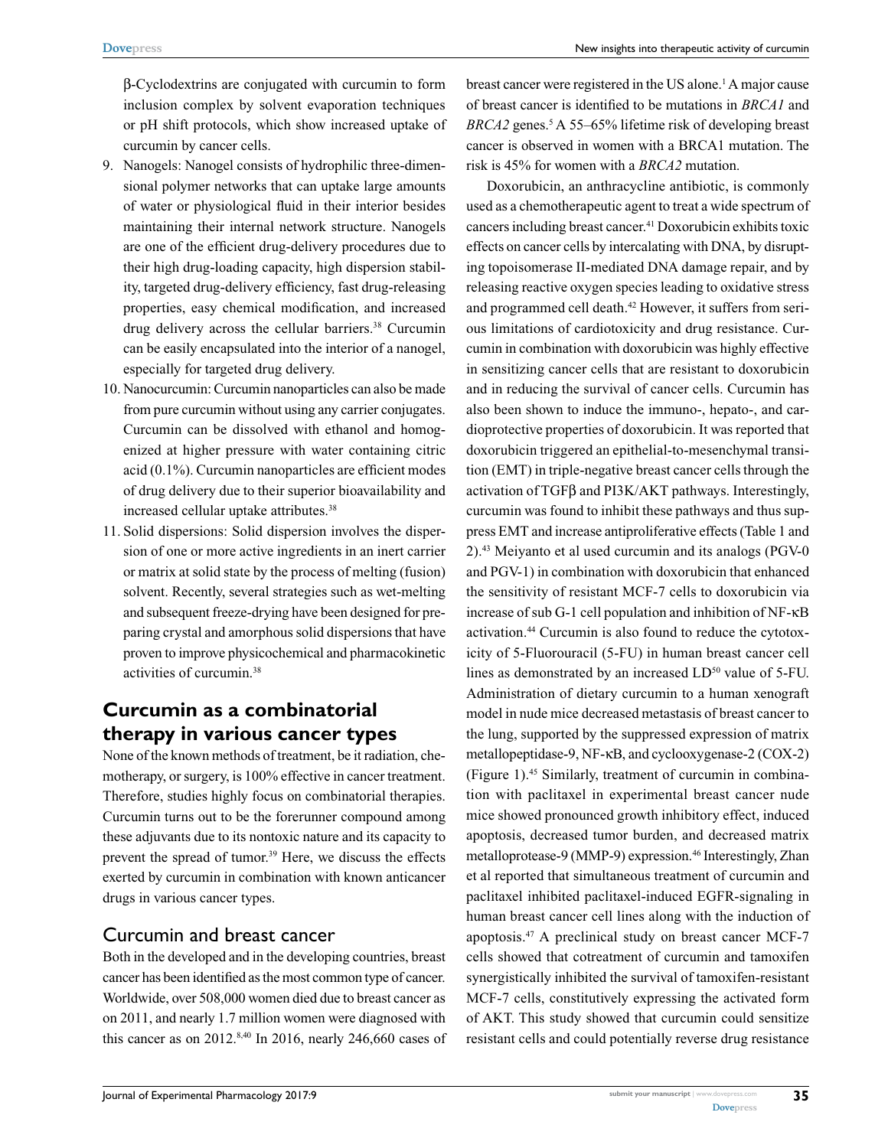New insights into therapeutic activity of curcumin

β-Cyclodextrins are conjugated with curcumin to form inclusion complex by solvent evaporation techniques or pH shift protocols, which show increased uptake of curcumin by cancer cells.

- 9. Nanogels: Nanogel consists of hydrophilic three-dimensional polymer networks that can uptake large amounts of water or physiological fluid in their interior besides maintaining their internal network structure. Nanogels are one of the efficient drug-delivery procedures due to their high drug-loading capacity, high dispersion stability, targeted drug-delivery efficiency, fast drug-releasing properties, easy chemical modification, and increased drug delivery across the cellular barriers.<sup>38</sup> Curcumin can be easily encapsulated into the interior of a nanogel, especially for targeted drug delivery.
- 10. Nanocurcumin: Curcumin nanoparticles can also be made from pure curcumin without using any carrier conjugates. Curcumin can be dissolved with ethanol and homogenized at higher pressure with water containing citric acid (0.1%). Curcumin nanoparticles are efficient modes of drug delivery due to their superior bioavailability and increased cellular uptake attributes.<sup>38</sup>
- 11. Solid dispersions: Solid dispersion involves the dispersion of one or more active ingredients in an inert carrier or matrix at solid state by the process of melting (fusion) solvent. Recently, several strategies such as wet-melting and subsequent freeze-drying have been designed for preparing crystal and amorphous solid dispersions that have proven to improve physicochemical and pharmacokinetic activities of curcumin.38

# **Curcumin as a combinatorial therapy in various cancer types**

None of the known methods of treatment, be it radiation, chemotherapy, or surgery, is 100% effective in cancer treatment. Therefore, studies highly focus on combinatorial therapies. Curcumin turns out to be the forerunner compound among these adjuvants due to its nontoxic nature and its capacity to prevent the spread of tumor.<sup>39</sup> Here, we discuss the effects exerted by curcumin in combination with known anticancer drugs in various cancer types.

#### Curcumin and breast cancer

Both in the developed and in the developing countries, breast cancer has been identified as the most common type of cancer. Worldwide, over 508,000 women died due to breast cancer as on 2011, and nearly 1.7 million women were diagnosed with this cancer as on 2012. $8,40$  In 2016, nearly 246,660 cases of

breast cancer were registered in the US alone.<sup>1</sup> A major cause of breast cancer is identified to be mutations in *BRCA1* and BRCA2 genes.<sup>5</sup> A 55–65% lifetime risk of developing breast cancer is observed in women with a BRCA1 mutation. The risk is 45% for women with a *BRCA2* mutation.

Doxorubicin, an anthracycline antibiotic, is commonly used as a chemotherapeutic agent to treat a wide spectrum of cancers including breast cancer.41 Doxorubicin exhibits toxic effects on cancer cells by intercalating with DNA, by disrupting topoisomerase II-mediated DNA damage repair, and by releasing reactive oxygen species leading to oxidative stress and programmed cell death.<sup>42</sup> However, it suffers from serious limitations of cardiotoxicity and drug resistance. Curcumin in combination with doxorubicin was highly effective in sensitizing cancer cells that are resistant to doxorubicin and in reducing the survival of cancer cells. Curcumin has also been shown to induce the immuno-, hepato-, and cardioprotective properties of doxorubicin. It was reported that doxorubicin triggered an epithelial-to-mesenchymal transition (EMT) in triple-negative breast cancer cells through the activation of TGFβ and PI3K/AKT pathways. Interestingly, curcumin was found to inhibit these pathways and thus suppress EMT and increase antiproliferative effects (Table 1 and 2).43 Meiyanto et al used curcumin and its analogs (PGV-0 and PGV-1) in combination with doxorubicin that enhanced the sensitivity of resistant MCF-7 cells to doxorubicin via increase of sub G-1 cell population and inhibition of NF-κB activation.44 Curcumin is also found to reduce the cytotoxicity of 5-Fluorouracil (5-FU) in human breast cancer cell lines as demonstrated by an increased LD<sup>50</sup> value of 5-FU. Administration of dietary curcumin to a human xenograft model in nude mice decreased metastasis of breast cancer to the lung, supported by the suppressed expression of matrix metallopeptidase-9, NF-κB, and cyclooxygenase-2 (COX-2) (Figure 1).45 Similarly, treatment of curcumin in combination with paclitaxel in experimental breast cancer nude mice showed pronounced growth inhibitory effect, induced apoptosis, decreased tumor burden, and decreased matrix metalloprotease-9 (MMP-9) expression.<sup>46</sup> Interestingly, Zhan et al reported that simultaneous treatment of curcumin and paclitaxel inhibited paclitaxel-induced EGFR-signaling in human breast cancer cell lines along with the induction of apoptosis.47 A preclinical study on breast cancer MCF-7 cells showed that cotreatment of curcumin and tamoxifen synergistically inhibited the survival of tamoxifen-resistant MCF-7 cells, constitutively expressing the activated form of AKT. This study showed that curcumin could sensitize resistant cells and could potentially reverse drug resistance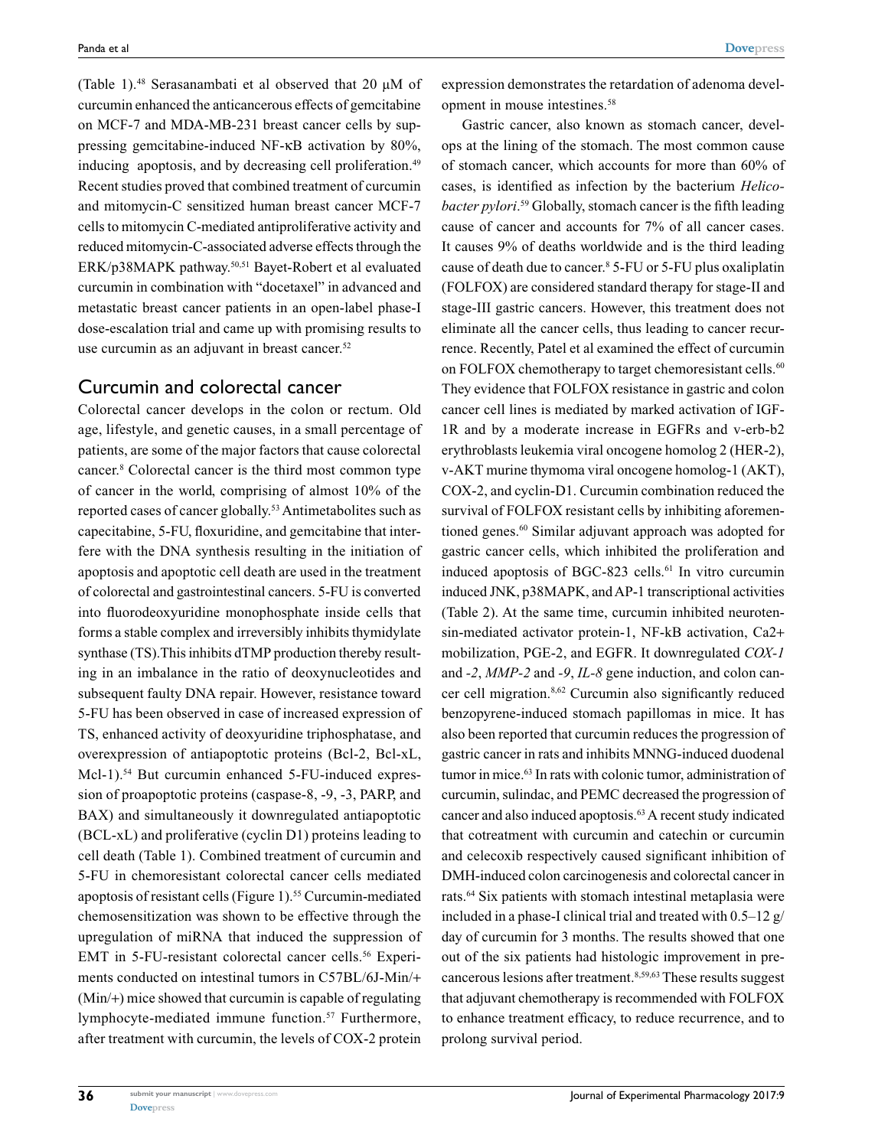(Table 1).48 Serasanambati et al observed that 20 µM of curcumin enhanced the anticancerous effects of gemcitabine on MCF-7 and MDA-MB-231 breast cancer cells by suppressing gemcitabine-induced NF-κB activation by 80%, inducing apoptosis, and by decreasing cell proliferation.<sup>49</sup> Recent studies proved that combined treatment of curcumin and mitomycin-C sensitized human breast cancer MCF-7 cells to mitomycin C-mediated antiproliferative activity and reduced mitomycin-C-associated adverse effects through the ERK/p38MAPK pathway.50,51 Bayet-Robert et al evaluated curcumin in combination with "docetaxel" in advanced and metastatic breast cancer patients in an open-label phase-I dose-escalation trial and came up with promising results to use curcumin as an adjuvant in breast cancer.<sup>52</sup>

#### Curcumin and colorectal cancer

Colorectal cancer develops in the colon or rectum. Old age, lifestyle, and genetic causes, in a small percentage of patients, are some of the major factors that cause colorectal cancer.8 Colorectal cancer is the third most common type of cancer in the world, comprising of almost 10% of the reported cases of cancer globally.<sup>53</sup> Antimetabolites such as capecitabine, 5-FU, floxuridine, and gemcitabine that interfere with the DNA synthesis resulting in the initiation of apoptosis and apoptotic cell death are used in the treatment of colorectal and gastrointestinal cancers. 5-FU is converted into fluorodeoxyuridine monophosphate inside cells that forms a stable complex and irreversibly inhibits thymidylate synthase (TS).This inhibits dTMP production thereby resulting in an imbalance in the ratio of deoxynucleotides and subsequent faulty DNA repair. However, resistance toward 5-FU has been observed in case of increased expression of TS, enhanced activity of deoxyuridine triphosphatase, and overexpression of antiapoptotic proteins (Bcl-2, Bcl-xL, Mcl-1).<sup>54</sup> But curcumin enhanced 5-FU-induced expression of proapoptotic proteins (caspase-8, -9, -3, PARP, and BAX) and simultaneously it downregulated antiapoptotic (BCL-xL) and proliferative (cyclin D1) proteins leading to cell death (Table 1). Combined treatment of curcumin and 5-FU in chemoresistant colorectal cancer cells mediated apoptosis of resistant cells (Figure 1).<sup>55</sup> Curcumin-mediated chemosensitization was shown to be effective through the upregulation of miRNA that induced the suppression of EMT in 5-FU-resistant colorectal cancer cells.<sup>56</sup> Experiments conducted on intestinal tumors in C57BL/6J-Min/+ (Min/+) mice showed that curcumin is capable of regulating lymphocyte-mediated immune function.<sup>57</sup> Furthermore, after treatment with curcumin, the levels of COX-2 protein

expression demonstrates the retardation of adenoma development in mouse intestines.58

Gastric cancer, also known as stomach cancer, develops at the lining of the stomach. The most common cause of stomach cancer, which accounts for more than 60% of cases, is identified as infection by the bacterium *Helicobacter pylori*. 59 Globally, stomach cancer is the fifth leading cause of cancer and accounts for 7% of all cancer cases. It causes 9% of deaths worldwide and is the third leading cause of death due to cancer.8 5-FU or 5-FU plus oxaliplatin (FOLFOX) are considered standard therapy for stage-II and stage-III gastric cancers. However, this treatment does not eliminate all the cancer cells, thus leading to cancer recurrence. Recently, Patel et al examined the effect of curcumin on FOLFOX chemotherapy to target chemoresistant cells.<sup>60</sup> They evidence that FOLFOX resistance in gastric and colon cancer cell lines is mediated by marked activation of IGF-1R and by a moderate increase in EGFRs and v-erb-b2 erythroblasts leukemia viral oncogene homolog 2 (HER-2), v-AKT murine thymoma viral oncogene homolog-1 (AKT), COX-2, and cyclin-D1. Curcumin combination reduced the survival of FOLFOX resistant cells by inhibiting aforementioned genes.<sup>60</sup> Similar adjuvant approach was adopted for gastric cancer cells, which inhibited the proliferation and induced apoptosis of BGC-823 cells.<sup>61</sup> In vitro curcumin induced JNK, p38MAPK, and AP-1 transcriptional activities (Table 2). At the same time, curcumin inhibited neurotensin-mediated activator protein-1, NF-kB activation, Ca2+ mobilization, PGE-2, and EGFR. It downregulated *COX-1* and *-2*, *MMP-2* and *-9*, *IL-8* gene induction, and colon cancer cell migration.8,62 Curcumin also significantly reduced benzopyrene-induced stomach papillomas in mice. It has also been reported that curcumin reduces the progression of gastric cancer in rats and inhibits MNNG-induced duodenal tumor in mice.<sup>63</sup> In rats with colonic tumor, administration of curcumin, sulindac, and PEMC decreased the progression of cancer and also induced apoptosis.63 A recent study indicated that cotreatment with curcumin and catechin or curcumin and celecoxib respectively caused significant inhibition of DMH-induced colon carcinogenesis and colorectal cancer in rats.64 Six patients with stomach intestinal metaplasia were included in a phase-I clinical trial and treated with 0.5–12 g/ day of curcumin for 3 months. The results showed that one out of the six patients had histologic improvement in precancerous lesions after treatment.8,59,63 These results suggest that adjuvant chemotherapy is recommended with FOLFOX to enhance treatment efficacy, to reduce recurrence, and to prolong survival period.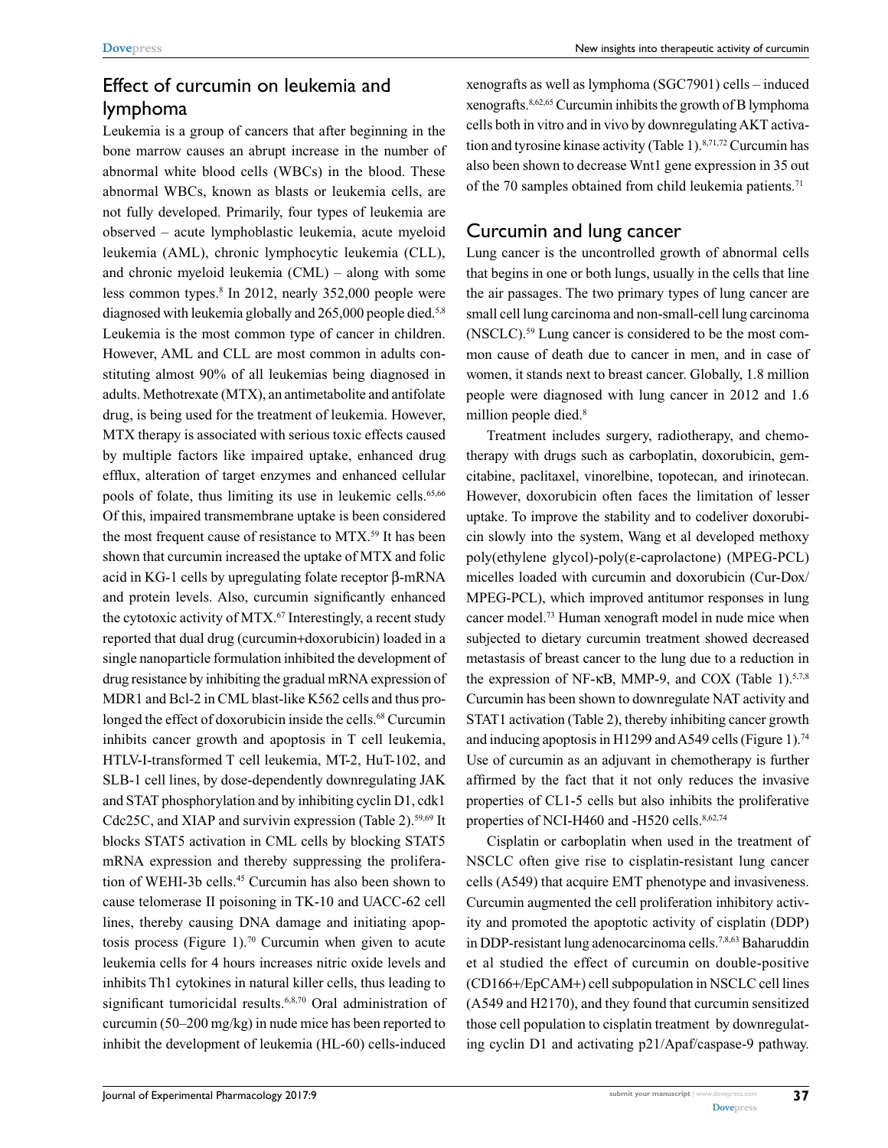### Effect of curcumin on leukemia and lymphoma

Leukemia is a group of cancers that after beginning in the bone marrow causes an abrupt increase in the number of abnormal white blood cells (WBCs) in the blood. These abnormal WBCs, known as blasts or leukemia cells, are not fully developed. Primarily, four types of leukemia are observed – acute lymphoblastic leukemia, acute myeloid leukemia (AML), chronic lymphocytic leukemia (CLL), and chronic myeloid leukemia (CML) – along with some less common types.<sup>8</sup> In 2012, nearly 352,000 people were diagnosed with leukemia globally and 265,000 people died.<sup>5,8</sup> Leukemia is the most common type of cancer in children. However, AML and CLL are most common in adults constituting almost 90% of all leukemias being diagnosed in adults. Methotrexate (MTX), an antimetabolite and antifolate drug, is being used for the treatment of leukemia. However, MTX therapy is associated with serious toxic effects caused by multiple factors like impaired uptake, enhanced drug efflux, alteration of target enzymes and enhanced cellular pools of folate, thus limiting its use in leukemic cells.<sup>65,66</sup> Of this, impaired transmembrane uptake is been considered the most frequent cause of resistance to MTX.<sup>59</sup> It has been shown that curcumin increased the uptake of MTX and folic acid in KG-1 cells by upregulating folate receptor β-mRNA and protein levels. Also, curcumin significantly enhanced the cytotoxic activity of MTX.<sup>67</sup> Interestingly, a recent study reported that dual drug (curcumin+doxorubicin) loaded in a single nanoparticle formulation inhibited the development of drug resistance by inhibiting the gradual mRNA expression of MDR1 and Bcl-2 in CML blast-like K562 cells and thus prolonged the effect of doxorubicin inside the cells.<sup>68</sup> Curcumin inhibits cancer growth and apoptosis in T cell leukemia, HTLV-I-transformed T cell leukemia, MT-2, HuT-102, and SLB-1 cell lines, by dose-dependently downregulating JAK and STAT phosphorylation and by inhibiting cyclin D1, cdk1 Cdc25C, and XIAP and survivin expression (Table 2).<sup>59,69</sup> It blocks STAT5 activation in CML cells by blocking STAT5 mRNA expression and thereby suppressing the proliferation of WEHI-3b cells.<sup>45</sup> Curcumin has also been shown to cause telomerase II poisoning in TK-10 and UACC-62 cell lines, thereby causing DNA damage and initiating apoptosis process (Figure 1).<sup>70</sup> Curcumin when given to acute leukemia cells for 4 hours increases nitric oxide levels and inhibits Th1 cytokines in natural killer cells, thus leading to significant tumoricidal results.<sup>6,8,70</sup> Oral administration of curcumin (50–200 mg/kg) in nude mice has been reported to inhibit the development of leukemia (HL-60) cells-induced

xenografts as well as lymphoma (SGC7901) cells – induced xenografts.8,62,65 Curcumin inhibits the growth of B lymphoma cells both in vitro and in vivo by downregulating AKT activation and tyrosine kinase activity (Table 1).<sup>8,71,72</sup> Curcumin has also been shown to decrease Wnt1 gene expression in 35 out of the 70 samples obtained from child leukemia patients.<sup>71</sup>

#### Curcumin and lung cancer

Lung cancer is the uncontrolled growth of abnormal cells that begins in one or both lungs, usually in the cells that line the air passages. The two primary types of lung cancer are small cell lung carcinoma and non-small-cell lung carcinoma (NSCLC).59 Lung cancer is considered to be the most common cause of death due to cancer in men, and in case of women, it stands next to breast cancer. Globally, 1.8 million people were diagnosed with lung cancer in 2012 and 1.6 million people died.<sup>8</sup>

Treatment includes surgery, radiotherapy, and chemotherapy with drugs such as carboplatin, doxorubicin, gemcitabine, paclitaxel, vinorelbine, topotecan, and irinotecan. However, doxorubicin often faces the limitation of lesser uptake. To improve the stability and to codeliver doxorubicin slowly into the system, Wang et al developed methoxy poly(ethylene glycol)-poly(ε-caprolactone) (MPEG-PCL) micelles loaded with curcumin and doxorubicin (Cur-Dox/ MPEG-PCL), which improved antitumor responses in lung cancer model.73 Human xenograft model in nude mice when subjected to dietary curcumin treatment showed decreased metastasis of breast cancer to the lung due to a reduction in the expression of NF- $\kappa$ B, MMP-9, and COX (Table 1).<sup>5,7,8</sup> Curcumin has been shown to downregulate NAT activity and STAT1 activation (Table 2), thereby inhibiting cancer growth and inducing apoptosis in H1299 and A549 cells (Figure 1).<sup>74</sup> Use of curcumin as an adjuvant in chemotherapy is further affirmed by the fact that it not only reduces the invasive properties of CL1-5 cells but also inhibits the proliferative properties of NCI-H460 and -H520 cells.<sup>8,62,74</sup>

Cisplatin or carboplatin when used in the treatment of NSCLC often give rise to cisplatin-resistant lung cancer cells (A549) that acquire EMT phenotype and invasiveness. Curcumin augmented the cell proliferation inhibitory activity and promoted the apoptotic activity of cisplatin (DDP) in DDP-resistant lung adenocarcinoma cells.<sup>7,8,63</sup> Baharuddin et al studied the effect of curcumin on double-positive (CD166+/EpCAM+) cell subpopulation in NSCLC cell lines (A549 and H2170), and they found that curcumin sensitized those cell population to cisplatin treatment by downregulating cyclin D1 and activating p21/Apaf/caspase-9 pathway.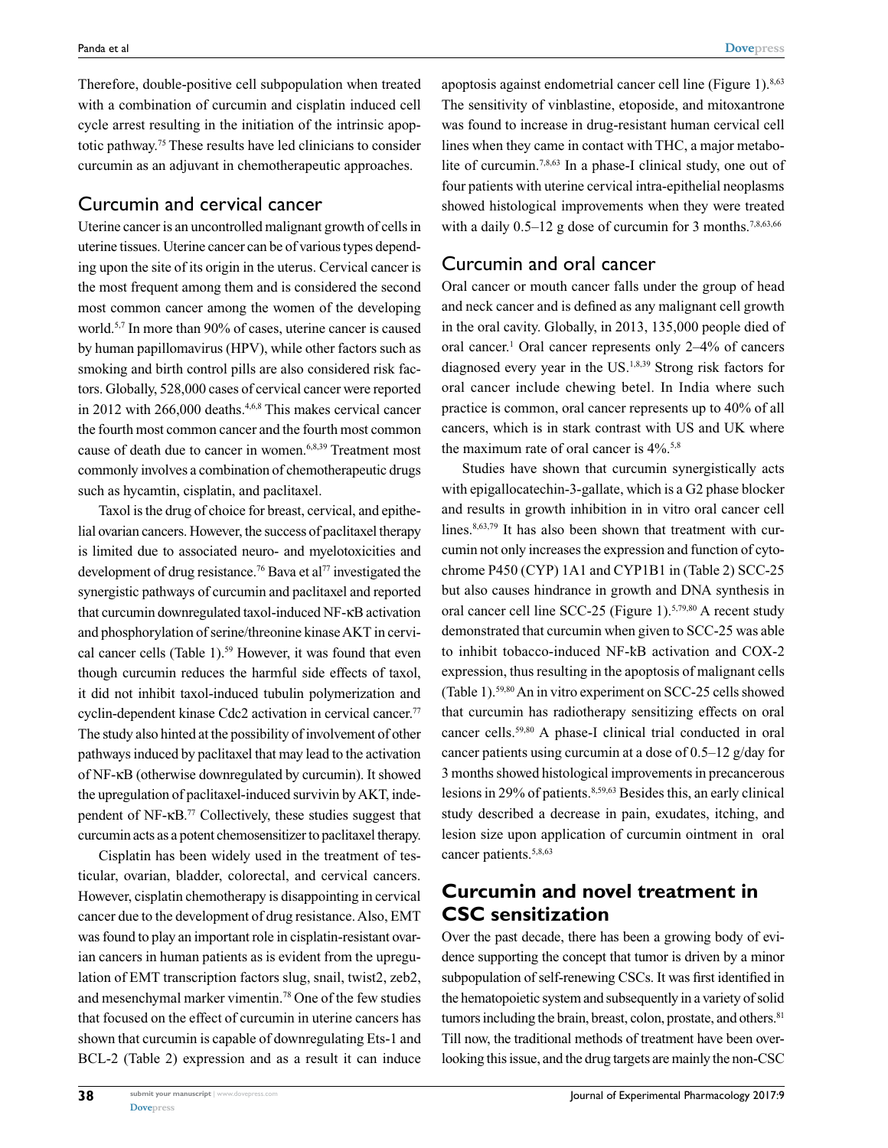Therefore, double-positive cell subpopulation when treated with a combination of curcumin and cisplatin induced cell cycle arrest resulting in the initiation of the intrinsic apoptotic pathway.75 These results have led clinicians to consider curcumin as an adjuvant in chemotherapeutic approaches.

#### Curcumin and cervical cancer

Uterine cancer is an uncontrolled malignant growth of cells in uterine tissues. Uterine cancer can be of various types depending upon the site of its origin in the uterus. Cervical cancer is the most frequent among them and is considered the second most common cancer among the women of the developing world.5,7 In more than 90% of cases, uterine cancer is caused by human papillomavirus (HPV), while other factors such as smoking and birth control pills are also considered risk factors. Globally, 528,000 cases of cervical cancer were reported in 2012 with  $266,000$  deaths.<sup>4,6,8</sup> This makes cervical cancer the fourth most common cancer and the fourth most common cause of death due to cancer in women.<sup>6,8,39</sup> Treatment most commonly involves a combination of chemotherapeutic drugs such as hycamtin, cisplatin, and paclitaxel.

Taxol is the drug of choice for breast, cervical, and epithelial ovarian cancers. However, the success of paclitaxel therapy is limited due to associated neuro- and myelotoxicities and development of drug resistance.<sup>76</sup> Bava et al<sup>77</sup> investigated the synergistic pathways of curcumin and paclitaxel and reported that curcumin downregulated taxol-induced NF-κB activation and phosphorylation of serine/threonine kinase AKT in cervical cancer cells (Table 1).<sup>59</sup> However, it was found that even though curcumin reduces the harmful side effects of taxol, it did not inhibit taxol-induced tubulin polymerization and cyclin-dependent kinase Cdc2 activation in cervical cancer.<sup>77</sup> The study also hinted at the possibility of involvement of other pathways induced by paclitaxel that may lead to the activation of NF-κB (otherwise downregulated by curcumin). It showed the upregulation of paclitaxel-induced survivin by AKT, independent of NF-κB.77 Collectively, these studies suggest that curcumin acts as a potent chemosensitizer to paclitaxel therapy.

Cisplatin has been widely used in the treatment of testicular, ovarian, bladder, colorectal, and cervical cancers. However, cisplatin chemotherapy is disappointing in cervical cancer due to the development of drug resistance. Also, EMT was found to play an important role in cisplatin-resistant ovarian cancers in human patients as is evident from the upregulation of EMT transcription factors slug, snail, twist2, zeb2, and mesenchymal marker vimentin.78 One of the few studies that focused on the effect of curcumin in uterine cancers has shown that curcumin is capable of downregulating Ets-1 and BCL-2 (Table 2) expression and as a result it can induce apoptosis against endometrial cancer cell line (Figure 1). $8,63$ The sensitivity of vinblastine, etoposide, and mitoxantrone was found to increase in drug-resistant human cervical cell lines when they came in contact with THC, a major metabolite of curcumin.<sup>7,8,63</sup> In a phase-I clinical study, one out of four patients with uterine cervical intra-epithelial neoplasms showed histological improvements when they were treated with a daily  $0.5-12$  g dose of curcumin for 3 months.<sup>7,8,63,66</sup>

#### Curcumin and oral cancer

Oral cancer or mouth cancer falls under the group of head and neck cancer and is defined as any malignant cell growth in the oral cavity. Globally, in 2013, 135,000 people died of oral cancer.<sup>1</sup> Oral cancer represents only 2–4% of cancers diagnosed every year in the US.1,8,39 Strong risk factors for oral cancer include chewing betel. In India where such practice is common, oral cancer represents up to 40% of all cancers, which is in stark contrast with US and UK where the maximum rate of oral cancer is  $4\%$ .<sup>5,8</sup>

Studies have shown that curcumin synergistically acts with epigallocatechin-3-gallate, which is a G2 phase blocker and results in growth inhibition in in vitro oral cancer cell lines.<sup>8,63,79</sup> It has also been shown that treatment with curcumin not only increases the expression and function of cytochrome P450 (CYP) 1A1 and CYP1B1 in (Table 2) SCC-25 but also causes hindrance in growth and DNA synthesis in oral cancer cell line SCC-25 (Figure 1).5,79,80 A recent study demonstrated that curcumin when given to SCC-25 was able to inhibit tobacco-induced NF-ҟB activation and COX-2 expression, thus resulting in the apoptosis of malignant cells (Table 1).59,80 An in vitro experiment on SCC-25 cells showed that curcumin has radiotherapy sensitizing effects on oral cancer cells.59,80 A phase-I clinical trial conducted in oral cancer patients using curcumin at a dose of 0.5–12 g/day for 3 months showed histological improvements in precancerous lesions in 29% of patients.<sup>8,59,63</sup> Besides this, an early clinical study described a decrease in pain, exudates, itching, and lesion size upon application of curcumin ointment in oral cancer patients.<sup>5,8,63</sup>

# **Curcumin and novel treatment in CSC sensitization**

Over the past decade, there has been a growing body of evidence supporting the concept that tumor is driven by a minor subpopulation of self-renewing CSCs. It was first identified in the hematopoietic system and subsequently in a variety of solid tumors including the brain, breast, colon, prostate, and others.<sup>81</sup> Till now, the traditional methods of treatment have been overlooking this issue, and the drug targets are mainly the non-CSC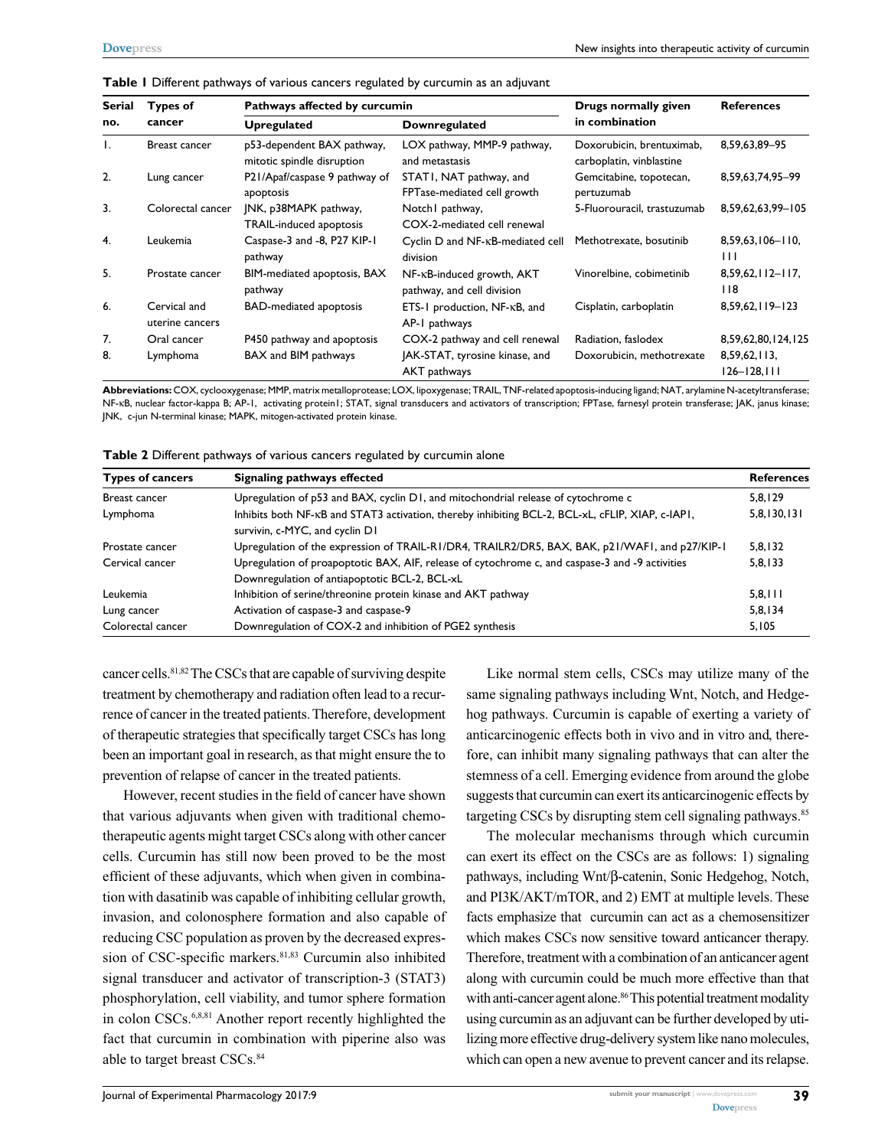**Table 1** Different pathways of various cancers regulated by curcumin as an adjuvant

| Serial<br>no. | Types of<br>cancer              | Pathways affected by curcumin                            |                                                         | Drugs normally given                                  | <b>References</b>                 |  |
|---------------|---------------------------------|----------------------------------------------------------|---------------------------------------------------------|-------------------------------------------------------|-----------------------------------|--|
|               |                                 | <b>Upregulated</b>                                       | <b>Downregulated</b>                                    | in combination                                        |                                   |  |
| Τ.            | Breast cancer                   | p53-dependent BAX pathway,<br>mitotic spindle disruption | LOX pathway, MMP-9 pathway,<br>and metastasis           | Doxorubicin, brentuximab,<br>carboplatin, vinblastine | 8,59,63,89-95                     |  |
| 2.            | Lung cancer                     | P21/Apaf/caspase 9 pathway of<br>apoptosis               | STATI, NAT pathway, and<br>FPTase-mediated cell growth  | Gemcitabine, topotecan,<br>pertuzumab                 | 8,59,63,74,95-99                  |  |
| 3.            | Colorectal cancer               | JNK, p38MAPK pathway,<br>TRAIL-induced apoptosis         | Notch I pathway,<br>COX-2-mediated cell renewal         | 5-Fluorouracil, trastuzumab                           | 8,59,62,63,99-105                 |  |
| 4.            | Leukemia                        | Caspase-3 and -8, P27 KIP-1<br>pathway                   | Cyclin D and NF-KB-mediated cell<br>division            | Methotrexate, bosutinib                               | $8,59,63,106 - 110,$<br>Ш         |  |
| 5.            | Prostate cancer                 | BIM-mediated apoptosis, BAX<br>pathway                   | NF-KB-induced growth, AKT<br>pathway, and cell division | Vinorelbine, cobimetinib                              | $8,59,62,112-117,$<br>118         |  |
| 6.            | Cervical and<br>uterine cancers | <b>BAD-mediated apoptosis</b>                            | ETS-1 production, NF-KB, and<br>AP-1 pathways           | Cisplatin, carboplatin                                | 8,59,62,119-123                   |  |
| 7.            | Oral cancer                     | P450 pathway and apoptosis                               | COX-2 pathway and cell renewal                          | Radiation, faslodex                                   | 8,59,62,80,124,125                |  |
| 8.            | Lymphoma                        | BAX and BIM pathways                                     | JAK-STAT, tyrosine kinase, and<br>AKT pathways          | Doxorubicin, methotrexate                             | 8,59,62,113,<br>$126 - 128$ , 111 |  |

**Abbreviations:** COX, cyclooxygenase; MMP, matrix metalloprotease; LOX, lipoxygenase; TRAIL, TNF-related apoptosis-inducing ligand; NAT, arylamine N-acetyltransferase; NF-kB, nuclear factor-kappa B; AP-1, activating protein1; STAT, signal transducers and activators of transcription; FPTase, farnesyl protein transferase; JAK, janus kinase; JNK, c-jun N-terminal kinase; MAPK, mitogen-activated protein kinase.

| Table 2 Different pathways of various cancers regulated by curcumin alone |  |  |  |
|---------------------------------------------------------------------------|--|--|--|
|---------------------------------------------------------------------------|--|--|--|

| <b>Types of cancers</b> | Signaling pathways effected                                                                                                        | <b>References</b> |
|-------------------------|------------------------------------------------------------------------------------------------------------------------------------|-------------------|
| Breast cancer           | Upregulation of p53 and BAX, cyclin D1, and mitochondrial release of cytochrome c                                                  |                   |
| Lymphoma                | Inhibits both NF-KB and STAT3 activation, thereby inhibiting BCL-2, BCL-xL, cFLIP, XIAP, c-IAP1,<br>survivin, c-MYC, and cyclin D1 | 5,8,130,131       |
| Prostate cancer         | Upregulation of the expression of TRAIL-RI/DR4, TRAILR2/DR5, BAX, BAK, p21/WAF1, and p27/KIP-1                                     | 5,8,132           |
| Cervical cancer         | Upregulation of proapoptotic BAX, AIF, release of cytochrome c, and caspase-3 and -9 activities                                    |                   |
|                         | Downregulation of antiapoptotic BCL-2, BCL-xL                                                                                      |                   |
| Leukemia                | Inhibition of serine/threonine protein kinase and AKT pathway                                                                      | 5,8,111           |
| Lung cancer             | Activation of caspase-3 and caspase-9                                                                                              | 5,8,134           |
| Colorectal cancer       | Downregulation of COX-2 and inhibition of PGE2 synthesis                                                                           | 5,105             |

cancer cells.81,82 The CSCs that are capable of surviving despite treatment by chemotherapy and radiation often lead to a recurrence of cancer in the treated patients. Therefore, development of therapeutic strategies that specifically target CSCs has long been an important goal in research, as that might ensure the to prevention of relapse of cancer in the treated patients.

However, recent studies in the field of cancer have shown that various adjuvants when given with traditional chemotherapeutic agents might target CSCs along with other cancer cells. Curcumin has still now been proved to be the most efficient of these adjuvants, which when given in combination with dasatinib was capable of inhibiting cellular growth, invasion, and colonosphere formation and also capable of reducing CSC population as proven by the decreased expression of CSC-specific markers.<sup>81,83</sup> Curcumin also inhibited signal transducer and activator of transcription-3 (STAT3) phosphorylation, cell viability, and tumor sphere formation in colon CSCs.<sup>6,8,81</sup> Another report recently highlighted the fact that curcumin in combination with piperine also was able to target breast CSCs.<sup>84</sup>

Like normal stem cells, CSCs may utilize many of the same signaling pathways including Wnt, Notch, and Hedgehog pathways. Curcumin is capable of exerting a variety of anticarcinogenic effects both in vivo and in vitro and, therefore, can inhibit many signaling pathways that can alter the stemness of a cell. Emerging evidence from around the globe suggests that curcumin can exert its anticarcinogenic effects by targeting CSCs by disrupting stem cell signaling pathways.<sup>85</sup>

The molecular mechanisms through which curcumin can exert its effect on the CSCs are as follows: 1) signaling pathways, including Wnt/β-catenin, Sonic Hedgehog, Notch, and PI3K/AKT/mTOR, and 2) EMT at multiple levels. These facts emphasize that curcumin can act as a chemosensitizer which makes CSCs now sensitive toward anticancer therapy. Therefore, treatment with a combination of an anticancer agent along with curcumin could be much more effective than that with anti-cancer agent alone.<sup>86</sup> This potential treatment modality using curcumin as an adjuvant can be further developed by utilizing more effective drug-delivery system like nano molecules, which can open a new avenue to prevent cancer and its relapse.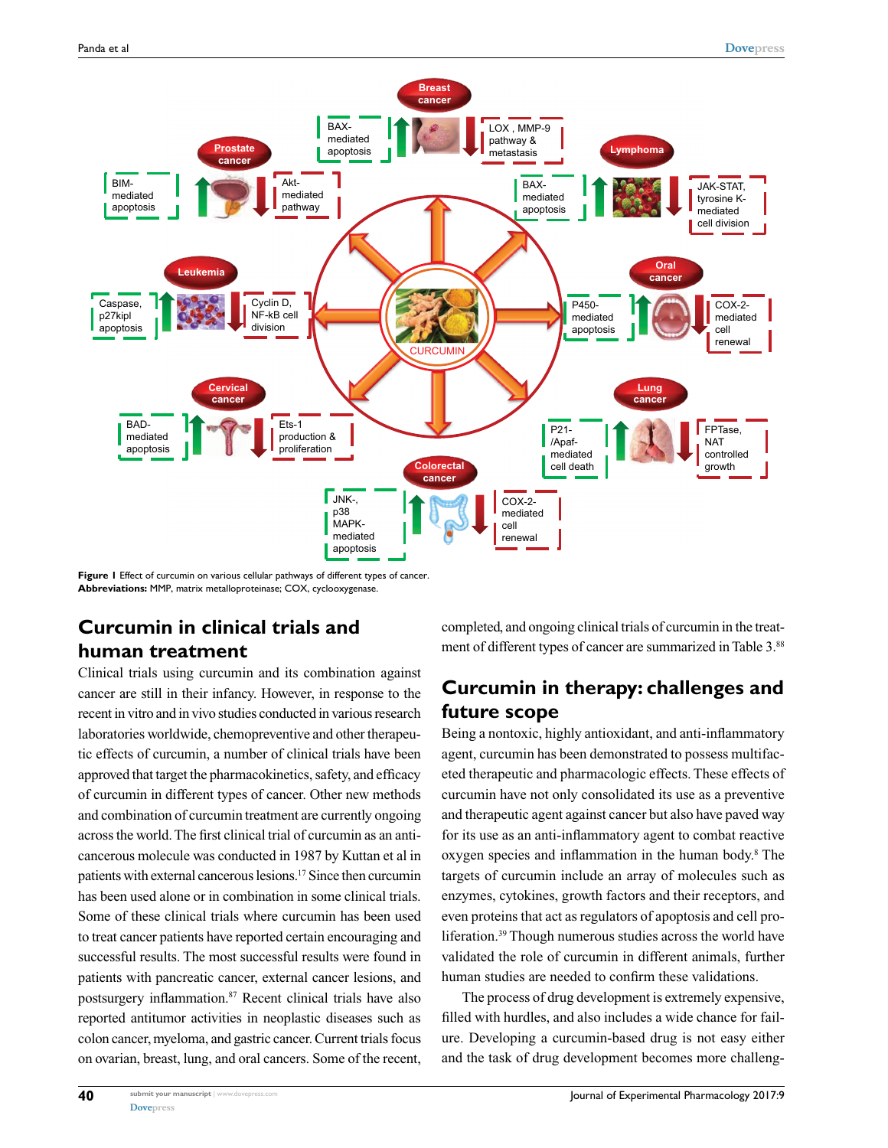

**Figure 1** Effect of curcumin on various cellular pathways of different types of cancer. **Abbreviations:** MMP, matrix metalloproteinase; COX, cyclooxygenase.

# **Curcumin in clinical trials and human treatment**

Clinical trials using curcumin and its combination against cancer are still in their infancy. However, in response to the recent in vitro and in vivo studies conducted in various research laboratories worldwide, chemopreventive and other therapeutic effects of curcumin, a number of clinical trials have been approved that target the pharmacokinetics, safety, and efficacy of curcumin in different types of cancer. Other new methods and combination of curcumin treatment are currently ongoing across the world. The first clinical trial of curcumin as an anticancerous molecule was conducted in 1987 by Kuttan et al in patients with external cancerous lesions.17 Since then curcumin has been used alone or in combination in some clinical trials. Some of these clinical trials where curcumin has been used to treat cancer patients have reported certain encouraging and successful results. The most successful results were found in patients with pancreatic cancer, external cancer lesions, and postsurgery inflammation.87 Recent clinical trials have also reported antitumor activities in neoplastic diseases such as colon cancer, myeloma, and gastric cancer. Current trials focus on ovarian, breast, lung, and oral cancers. Some of the recent, completed, and ongoing clinical trials of curcumin in the treatment of different types of cancer are summarized in Table 3.88

# **Curcumin in therapy: challenges and future scope**

Being a nontoxic, highly antioxidant, and anti-inflammatory agent, curcumin has been demonstrated to possess multifaceted therapeutic and pharmacologic effects. These effects of curcumin have not only consolidated its use as a preventive and therapeutic agent against cancer but also have paved way for its use as an anti-inflammatory agent to combat reactive oxygen species and inflammation in the human body.<sup>8</sup> The targets of curcumin include an array of molecules such as enzymes, cytokines, growth factors and their receptors, and even proteins that act as regulators of apoptosis and cell proliferation.39 Though numerous studies across the world have validated the role of curcumin in different animals, further human studies are needed to confirm these validations.

The process of drug development is extremely expensive, filled with hurdles, and also includes a wide chance for failure. Developing a curcumin-based drug is not easy either and the task of drug development becomes more challeng-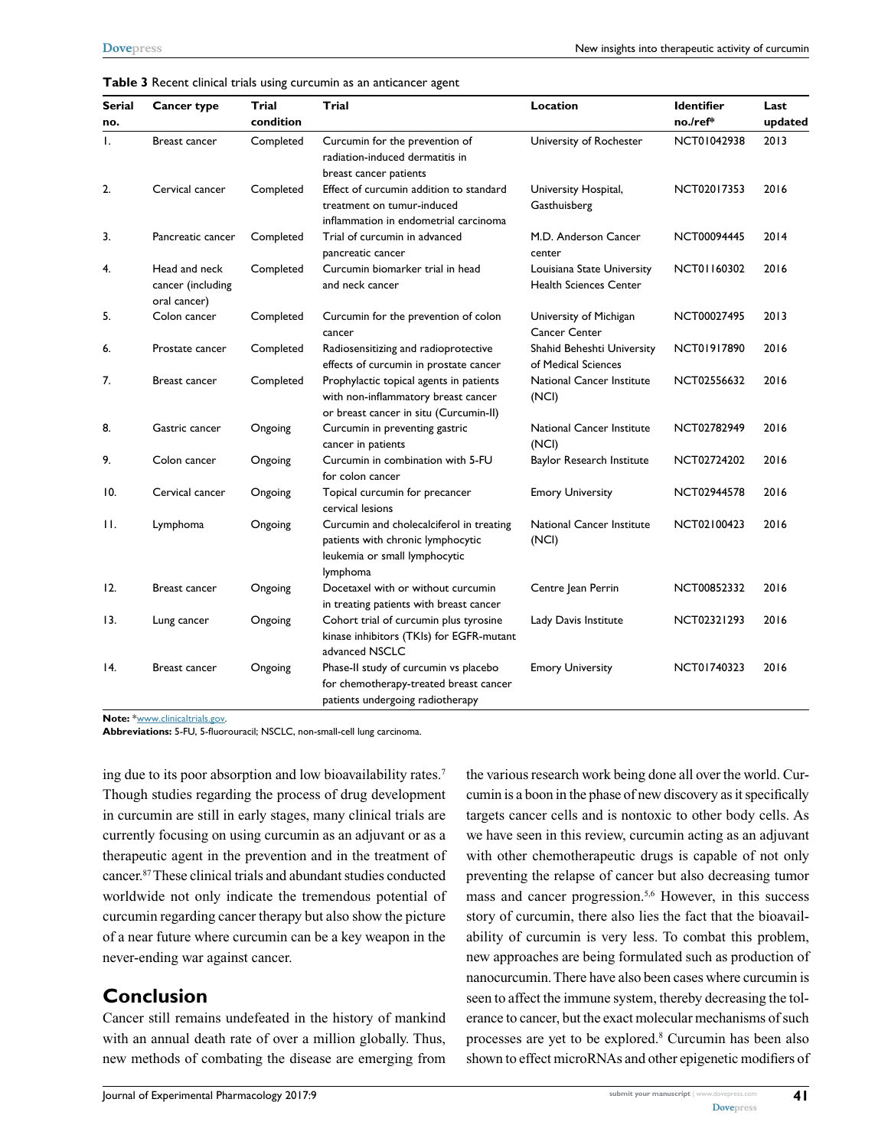| Serial | Cancer type                                        | Trial     | Trial                                                                                                                      | Location                                                    | <b>Identifier</b> | Last    |
|--------|----------------------------------------------------|-----------|----------------------------------------------------------------------------------------------------------------------------|-------------------------------------------------------------|-------------------|---------|
| no.    |                                                    | condition |                                                                                                                            |                                                             | no./ref*          | updated |
| I.     | Breast cancer                                      | Completed | Curcumin for the prevention of<br>radiation-induced dermatitis in<br>breast cancer patients                                | University of Rochester                                     | NCT01042938       | 2013    |
| 2.     | Cervical cancer                                    | Completed | Effect of curcumin addition to standard<br>treatment on tumur-induced<br>inflammation in endometrial carcinoma             | University Hospital,<br>Gasthuisberg                        | NCT02017353       | 2016    |
| 3.     | Pancreatic cancer                                  | Completed | Trial of curcumin in advanced<br>pancreatic cancer                                                                         | M.D. Anderson Cancer<br>center                              | NCT00094445       | 2014    |
| 4.     | Head and neck<br>cancer (including<br>oral cancer) | Completed | Curcumin biomarker trial in head<br>and neck cancer                                                                        | Louisiana State University<br><b>Health Sciences Center</b> | NCT01160302       | 2016    |
| 5.     | Colon cancer                                       | Completed | Curcumin for the prevention of colon<br>cancer                                                                             | University of Michigan<br><b>Cancer Center</b>              | NCT00027495       | 2013    |
| 6.     | Prostate cancer                                    | Completed | Radiosensitizing and radioprotective<br>effects of curcumin in prostate cancer                                             | Shahid Beheshti University<br>of Medical Sciences           | NCT01917890       | 2016    |
| 7.     | Breast cancer                                      | Completed | Prophylactic topical agents in patients<br>with non-inflammatory breast cancer<br>or breast cancer in situ (Curcumin-II)   | <b>National Cancer Institute</b><br>(NCI)                   | NCT02556632       | 2016    |
| 8.     | Gastric cancer                                     | Ongoing   | Curcumin in preventing gastric<br>cancer in patients                                                                       | National Cancer Institute<br>(NCI)                          | NCT02782949       | 2016    |
| 9.     | Colon cancer                                       | Ongoing   | Curcumin in combination with 5-FU<br>for colon cancer                                                                      | Baylor Research Institute                                   | NCT02724202       | 2016    |
| 10.    | Cervical cancer                                    | Ongoing   | Topical curcumin for precancer<br>cervical lesions                                                                         | <b>Emory University</b>                                     | NCT02944578       | 2016    |
| Н.     | Lymphoma                                           | Ongoing   | Curcumin and cholecalciferol in treating<br>patients with chronic lymphocytic<br>leukemia or small lymphocytic<br>lymphoma | <b>National Cancer Institute</b><br>(NCI)                   | NCT02100423       | 2016    |
| 12.    | Breast cancer                                      | Ongoing   | Docetaxel with or without curcumin<br>in treating patients with breast cancer                                              | Centre Jean Perrin                                          | NCT00852332       | 2016    |
| 13.    | Lung cancer                                        | Ongoing   | Cohort trial of curcumin plus tyrosine<br>kinase inhibitors (TKIs) for EGFR-mutant<br>advanced NSCLC                       | Lady Davis Institute                                        | NCT02321293       | 2016    |
| 14.    | Breast cancer                                      | Ongoing   | Phase-II study of curcumin vs placebo<br>for chemotherapy-treated breast cancer<br>patients undergoing radiotherapy        | <b>Emory University</b>                                     | NCT01740323       | 2016    |

#### **Table 3** Recent clinical trials using curcumin as an anticancer agent

**Note:** [\\*www.clinicaltrials.gov](www.clinicaltrials.gov).

**Abbreviations:** 5-FU, 5-fluorouracil; NSCLC, non-small-cell lung carcinoma.

ing due to its poor absorption and low bioavailability rates.7 Though studies regarding the process of drug development in curcumin are still in early stages, many clinical trials are currently focusing on using curcumin as an adjuvant or as a therapeutic agent in the prevention and in the treatment of cancer.87 These clinical trials and abundant studies conducted worldwide not only indicate the tremendous potential of curcumin regarding cancer therapy but also show the picture of a near future where curcumin can be a key weapon in the never-ending war against cancer.

#### **Conclusion**

Cancer still remains undefeated in the history of mankind with an annual death rate of over a million globally. Thus, new methods of combating the disease are emerging from the various research work being done all over the world. Curcumin is a boon in the phase of new discovery as it specifically targets cancer cells and is nontoxic to other body cells. As we have seen in this review, curcumin acting as an adjuvant with other chemotherapeutic drugs is capable of not only preventing the relapse of cancer but also decreasing tumor mass and cancer progression.5,6 However, in this success story of curcumin, there also lies the fact that the bioavailability of curcumin is very less. To combat this problem, new approaches are being formulated such as production of nanocurcumin. There have also been cases where curcumin is seen to affect the immune system, thereby decreasing the tolerance to cancer, but the exact molecular mechanisms of such processes are yet to be explored.8 Curcumin has been also shown to effect microRNAs and other epigenetic modifiers of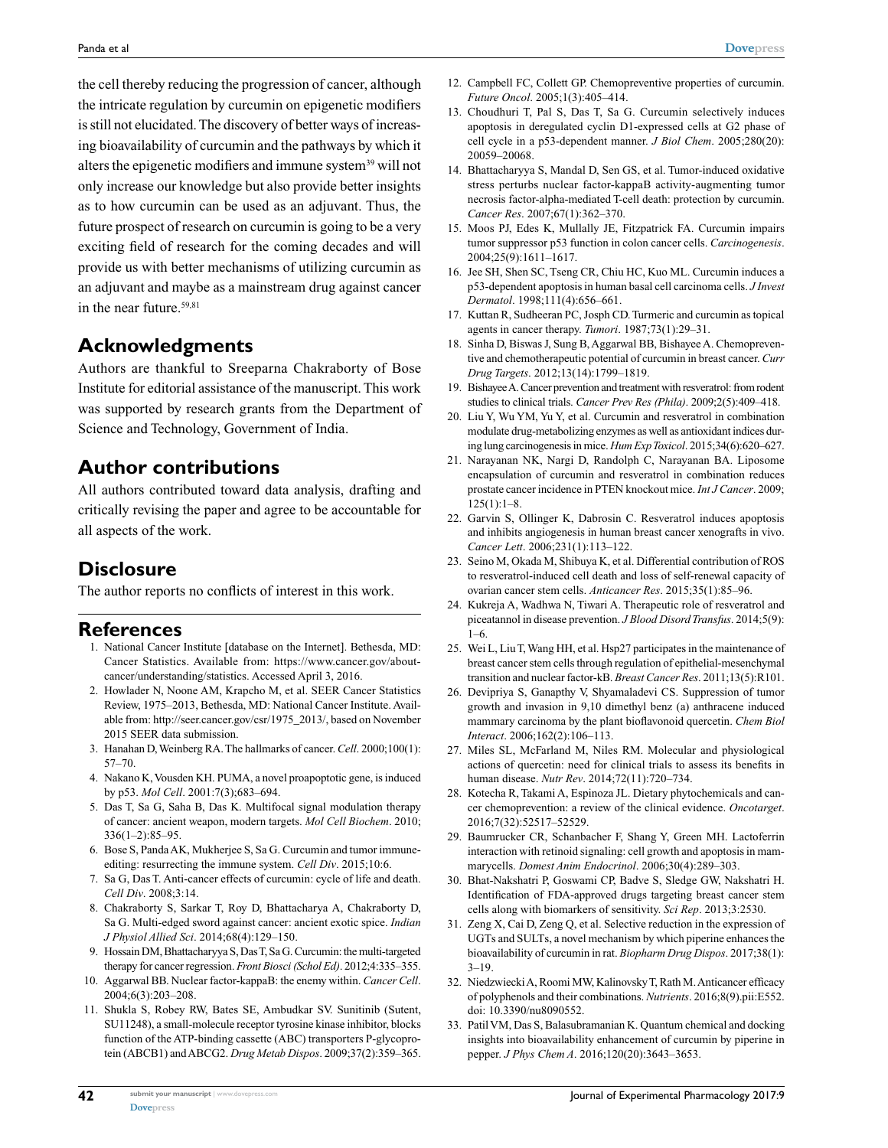the cell thereby reducing the progression of cancer, although the intricate regulation by curcumin on epigenetic modifiers is still not elucidated. The discovery of better ways of increasing bioavailability of curcumin and the pathways by which it alters the epigenetic modifiers and immune system<sup>39</sup> will not only increase our knowledge but also provide better insights as to how curcumin can be used as an adjuvant. Thus, the future prospect of research on curcumin is going to be a very exciting field of research for the coming decades and will provide us with better mechanisms of utilizing curcumin as an adjuvant and maybe as a mainstream drug against cancer in the near future.<sup>59,81</sup>

# **Acknowledgments**

Authors are thankful to Sreeparna Chakraborty of Bose Institute for editorial assistance of the manuscript. This work was supported by research grants from the Department of Science and Technology, Government of India.

### **Author contributions**

All authors contributed toward data analysis, drafting and critically revising the paper and agree to be accountable for all aspects of the work.

### **Disclosure**

The author reports no conflicts of interest in this work.

#### **References**

- 1. National Cancer Institute [database on the Internet]. Bethesda, MD: Cancer Statistics. Available from: https://www.cancer.gov/aboutcancer/understanding/statistics. Accessed April 3, 2016.
- 2. Howlader N, Noone AM, Krapcho M, et al. SEER Cancer Statistics Review, 1975–2013, Bethesda, MD: National Cancer Institute. Available from: [http://seer.cancer.gov/csr/1975\\_2013/,](http://seer.cancer.gov/csr/1975_2013/) based on November 2015 SEER data submission.
- 3. Hanahan D, Weinberg RA. The hallmarks of cancer. *Cell*. 2000;100(1): 57–70.
- 4. Nakano K, Vousden KH. PUMA, a novel proapoptotic gene, is induced by p53. *Mol Cell*. 2001:7(3);683–694.
- 5. Das T, Sa G, Saha B, Das K. Multifocal signal modulation therapy of cancer: ancient weapon, modern targets. *Mol Cell Biochem*. 2010; 336(1–2):85–95.
- 6. Bose S, Panda AK, Mukherjee S, Sa G. Curcumin and tumor immuneediting: resurrecting the immune system. *Cell Div*. 2015;10:6.
- 7. Sa G, Das T. Anti-cancer effects of curcumin: cycle of life and death. *Cell Div*. 2008;3:14.
- 8. Chakraborty S, Sarkar T, Roy D, Bhattacharya A, Chakraborty D, Sa G. Multi-edged sword against cancer: ancient exotic spice. *Indian J Physiol Allied Sci*. 2014;68(4):129–150.
- 9. Hossain DM, Bhattacharyya S, Das T, Sa G. Curcumin: the multi-targeted therapy for cancer regression. *Front Biosci (Schol Ed)*. 2012;4:335–355.
- 10. Aggarwal BB. Nuclear factor-kappaB: the enemy within. *Cancer Cell*. 2004;6(3):203–208.
- 11. Shukla S, Robey RW, Bates SE, Ambudkar SV. Sunitinib (Sutent, SU11248), a small-molecule receptor tyrosine kinase inhibitor, blocks function of the ATP-binding cassette (ABC) transporters P-glycoprotein (ABCB1) and ABCG2. *Drug Metab Dispos*. 2009;37(2):359–365.
- 12. Campbell FC, Collett GP. Chemopreventive properties of curcumin. *Future Oncol*. 2005;1(3):405–414.
- 13. Choudhuri T, Pal S, Das T, Sa G. Curcumin selectively induces apoptosis in deregulated cyclin D1-expressed cells at G2 phase of cell cycle in a p53-dependent manner. *J Biol Chem*. 2005;280(20): 20059–20068.
- 14. Bhattacharyya S, Mandal D, Sen GS, et al. Tumor-induced oxidative stress perturbs nuclear factor-kappaB activity-augmenting tumor necrosis factor-alpha-mediated T-cell death: protection by curcumin. *Cancer Res*. 2007;67(1):362–370.
- 15. Moos PJ, Edes K, Mullally JE, Fitzpatrick FA. Curcumin impairs tumor suppressor p53 function in colon cancer cells. *Carcinogenesis*. 2004;25(9):1611–1617.
- 16. Jee SH, Shen SC, Tseng CR, Chiu HC, Kuo ML. Curcumin induces a p53-dependent apoptosis in human basal cell carcinoma cells. *J Invest Dermatol*. 1998;111(4):656–661.
- 17. Kuttan R, Sudheeran PC, Josph CD. Turmeric and curcumin as topical agents in cancer therapy. *Tumori*. 1987;73(1):29–31.
- 18. Sinha D, Biswas J, Sung B, Aggarwal BB, Bishayee A. Chemopreventive and chemotherapeutic potential of curcumin in breast cancer. *Curr Drug Targets*. 2012;13(14):1799–1819.
- 19. Bishayee A. Cancer prevention and treatment with resveratrol: from rodent studies to clinical trials. *Cancer Prev Res (Phila)*. 2009;2(5):409–418.
- 20. Liu Y, Wu YM, Yu Y, et al. Curcumin and resveratrol in combination modulate drug-metabolizing enzymes as well as antioxidant indices during lung carcinogenesis in mice. *Hum Exp Toxicol*. 2015;34(6):620–627.
- 21. Narayanan NK, Nargi D, Randolph C, Narayanan BA. Liposome encapsulation of curcumin and resveratrol in combination reduces prostate cancer incidence in PTEN knockout mice. *Int J Cancer*. 2009; 125(1):1–8.
- 22. Garvin S, Ollinger K, Dabrosin C. Resveratrol induces apoptosis and inhibits angiogenesis in human breast cancer xenografts in vivo. *Cancer Lett*. 2006;231(1):113–122.
- 23. Seino M, Okada M, Shibuya K, et al. Differential contribution of ROS to resveratrol-induced cell death and loss of self-renewal capacity of ovarian cancer stem cells. *Anticancer Res*. 2015;35(1):85–96.
- 24. Kukreja A, Wadhwa N, Tiwari A. Therapeutic role of resveratrol and piceatannol in disease prevention. *J Blood Disord Transfus*. 2014;5(9): 1–6.
- 25. Wei L, Liu T, Wang HH, et al. Hsp27 participates in the maintenance of breast cancer stem cells through regulation of epithelial-mesenchymal transition and nuclear factor-kB. *Breast Cancer Res*. 2011;13(5):R101.
- 26. Devipriya S, Ganapthy V, Shyamaladevi CS. Suppression of tumor growth and invasion in 9,10 dimethyl benz (a) anthracene induced mammary carcinoma by the plant bioflavonoid quercetin. *Chem Biol Interact*. 2006;162(2):106–113.
- 27. Miles SL, McFarland M, Niles RM. Molecular and physiological actions of quercetin: need for clinical trials to assess its benefits in human disease. *Nutr Rev*. 2014;72(11):720–734.
- 28. Kotecha R, Takami A, Espinoza JL. Dietary phytochemicals and cancer chemoprevention: a review of the clinical evidence. *Oncotarget*. 2016;7(32):52517–52529.
- 29. Baumrucker CR, Schanbacher F, Shang Y, Green MH. Lactoferrin interaction with retinoid signaling: cell growth and apoptosis in mammarycells. *Domest Anim Endocrinol*. 2006;30(4):289–303.
- 30. Bhat-Nakshatri P, Goswami CP, Badve S, Sledge GW, Nakshatri H. Identification of FDA-approved drugs targeting breast cancer stem cells along with biomarkers of sensitivity. *Sci Rep*. 2013;3:2530.
- 31. Zeng X, Cai D, Zeng Q, et al. Selective reduction in the expression of UGTs and SULTs, a novel mechanism by which piperine enhances the bioavailability of curcumin in rat. *Biopharm Drug Dispos*. 2017;38(1): 3–19.
- 32. Niedzwiecki A, Roomi MW, Kalinovsky T, Rath M. Anticancer efficacy of polyphenols and their combinations. *Nutrients*. 2016;8(9).pii:E552. doi: 10.3390/nu8090552.
- 33. Patil VM, Das S, Balasubramanian K. Quantum chemical and docking insights into bioavailability enhancement of curcumin by piperine in pepper. *J Phys Chem A*. 2016;120(20):3643–3653.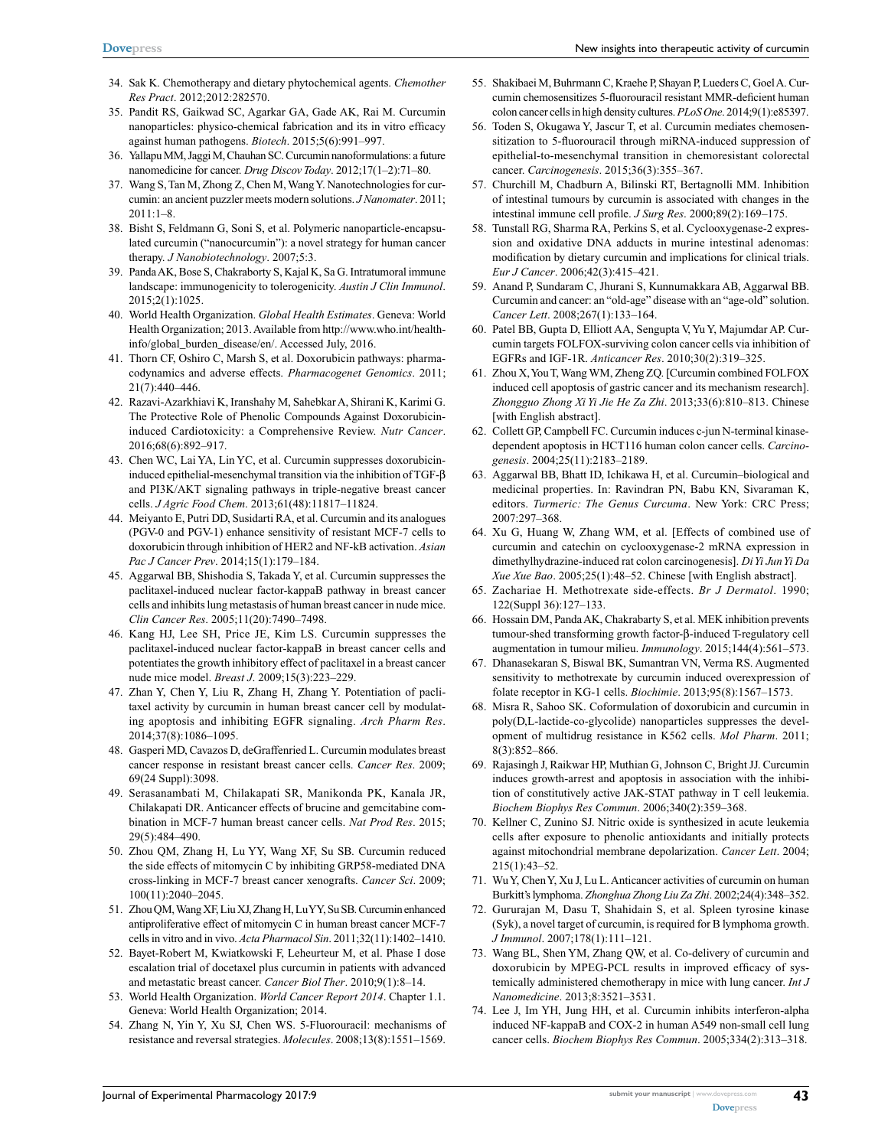- 34. Sak K. Chemotherapy and dietary phytochemical agents. *Chemother Res Pract*. 2012;2012:282570.
- 35. Pandit RS, Gaikwad SC, Agarkar GA, Gade AK, Rai M. Curcumin nanoparticles: physico-chemical fabrication and its in vitro efficacy against human pathogens. *Biotech*. 2015;5(6):991–997.
- 36. Yallapu MM, Jaggi M, Chauhan SC. Curcumin nanoformulations: a future nanomedicine for cancer. *Drug Discov Today*. 2012;17(1–2):71–80.
- 37. Wang S, Tan M, Zhong Z, Chen M, Wang Y. Nanotechnologies for curcumin: an ancient puzzler meets modern solutions. *J Nanomater*. 2011; 2011:1–8.
- 38. Bisht S, Feldmann G, Soni S, et al. Polymeric nanoparticle-encapsulated curcumin ("nanocurcumin"): a novel strategy for human cancer therapy. *J Nanobiotechnology*. 2007;5:3.
- 39. Panda AK, Bose S, Chakraborty S, Kajal K, Sa G. Intratumoral immune landscape: immunogenicity to tolerogenicity. *Austin J Clin Immunol*. 2015;2(1):1025.
- 40. World Health Organization. *Global Health Estimates*. Geneva: World Health Organization; 2013. Available from http://www.who.int/healthinfo/global\_burden\_disease/en/. Accessed July, 2016.
- 41. Thorn CF, Oshiro C, Marsh S, et al. Doxorubicin pathways: pharmacodynamics and adverse effects. *Pharmacogenet Genomics*. 2011; 21(7):440–446.
- 42. Razavi-Azarkhiavi K, Iranshahy M, Sahebkar A, Shirani K, Karimi G. The Protective Role of Phenolic Compounds Against Doxorubicininduced Cardiotoxicity: a Comprehensive Review. *Nutr Cancer*. 2016;68(6):892–917.
- 43. Chen WC, Lai YA, Lin YC, et al. Curcumin suppresses doxorubicininduced epithelial-mesenchymal transition via the inhibition of TGF-β and PI3K/AKT signaling pathways in triple-negative breast cancer cells. *J Agric Food Chem*. 2013;61(48):11817–11824.
- 44. Meiyanto E, Putri DD, Susidarti RA, et al. Curcumin and its analogues (PGV-0 and PGV-1) enhance sensitivity of resistant MCF-7 cells to doxorubicin through inhibition of HER2 and NF-kB activation. *Asian Pac J Cancer Prev*. 2014;15(1):179–184.
- 45. Aggarwal BB, Shishodia S, Takada Y, et al. Curcumin suppresses the paclitaxel-induced nuclear factor-kappaB pathway in breast cancer cells and inhibits lung metastasis of human breast cancer in nude mice. *Clin Cancer Res*. 2005;11(20):7490–7498.
- 46. Kang HJ, Lee SH, Price JE, Kim LS. Curcumin suppresses the paclitaxel-induced nuclear factor-kappaB in breast cancer cells and potentiates the growth inhibitory effect of paclitaxel in a breast cancer nude mice model. *Breast J*. 2009;15(3):223–229.
- 47. Zhan Y, Chen Y, Liu R, Zhang H, Zhang Y. Potentiation of paclitaxel activity by curcumin in human breast cancer cell by modulating apoptosis and inhibiting EGFR signaling. *Arch Pharm Res*. 2014;37(8):1086–1095.
- 48. Gasperi MD, Cavazos D, deGraffenried L. Curcumin modulates breast cancer response in resistant breast cancer cells. *Cancer Res*. 2009; 69(24 Suppl):3098.
- 49. Serasanambati M, Chilakapati SR, Manikonda PK, Kanala JR, Chilakapati DR. Anticancer effects of brucine and gemcitabine combination in MCF-7 human breast cancer cells. *Nat Prod Res*. 2015; 29(5):484–490.
- 50. Zhou QM, Zhang H, Lu YY, Wang XF, Su SB. Curcumin reduced the side effects of mitomycin C by inhibiting GRP58-mediated DNA cross-linking in MCF-7 breast cancer xenografts. *Cancer Sci*. 2009; 100(11):2040–2045.
- 51. Zhou QM, Wang XF, Liu XJ, Zhang H, Lu YY, Su SB. Curcumin enhanced antiproliferative effect of mitomycin C in human breast cancer MCF-7 cells in vitro and in vivo. *Acta Pharmacol Sin*. 2011;32(11):1402–1410.
- 52. Bayet-Robert M, Kwiatkowski F, Leheurteur M, et al. Phase I dose escalation trial of docetaxel plus curcumin in patients with advanced and metastatic breast cancer. *Cancer Biol Ther*. 2010;9(1):8–14.
- 53. World Health Organization. *World Cancer Report 2014*. Chapter 1.1. Geneva: World Health Organization; 2014.
- 54. Zhang N, Yin Y, Xu SJ, Chen WS. 5-Fluorouracil: mechanisms of resistance and reversal strategies. *Molecules*. 2008;13(8):1551–1569.
- 55. Shakibaei M, Buhrmann C, Kraehe P, Shayan P, Lueders C, Goel A. Curcumin chemosensitizes 5-fluorouracil resistant MMR-deficient human colon cancer cells in high density cultures. *PLoS One*. 2014;9(1):e85397.
- 56. Toden S, Okugawa Y, Jascur T, et al. Curcumin mediates chemosensitization to 5-fluorouracil through miRNA-induced suppression of epithelial-to-mesenchymal transition in chemoresistant colorectal cancer. *Carcinogenesis*. 2015;36(3):355–367.
- 57. Churchill M, Chadburn A, Bilinski RT, Bertagnolli MM. Inhibition of intestinal tumours by curcumin is associated with changes in the intestinal immune cell profile. *J Surg Res*. 2000;89(2):169–175.
- 58. Tunstall RG, Sharma RA, Perkins S, et al. Cyclooxygenase-2 expression and oxidative DNA adducts in murine intestinal adenomas: modification by dietary curcumin and implications for clinical trials. *Eur J Cancer*. 2006;42(3):415–421.
- 59. Anand P, Sundaram C, Jhurani S, Kunnumakkara AB, Aggarwal BB. Curcumin and cancer: an "old-age" disease with an "age-old" solution. *Cancer Lett*. 2008;267(1):133–164.
- 60. Patel BB, Gupta D, Elliott AA, Sengupta V, Yu Y, Majumdar AP. Curcumin targets FOLFOX-surviving colon cancer cells via inhibition of EGFRs and IGF-1R. *Anticancer Res*. 2010;30(2):319–325.
- 61. Zhou X, You T, Wang WM, Zheng ZQ. [Curcumin combined FOLFOX induced cell apoptosis of gastric cancer and its mechanism research]. *Zhongguo Zhong Xi Yi Jie He Za Zhi*. 2013;33(6):810–813. Chinese [with English abstract].
- 62. Collett GP, Campbell FC. Curcumin induces c-jun N-terminal kinasedependent apoptosis in HCT116 human colon cancer cells. *Carcinogenesis*. 2004;25(11):2183–2189.
- 63. Aggarwal BB, Bhatt ID, Ichikawa H, et al. Curcumin–biological and medicinal properties. In: Ravindran PN, Babu KN, Sivaraman K, editors. *Turmeric: The Genus Curcuma*. New York: CRC Press; 2007:297–368.
- 64. Xu G, Huang W, Zhang WM, et al. [Effects of combined use of curcumin and catechin on cyclooxygenase-2 mRNA expression in dimethylhydrazine-induced rat colon carcinogenesis]. *Di Yi Jun Yi Da Xue Xue Bao*. 2005;25(1):48–52. Chinese [with English abstract].
- 65. Zachariae H. Methotrexate side-effects. *Br J Dermatol*. 1990; 122(Suppl 36):127–133.
- 66. Hossain DM, Panda AK, Chakrabarty S, et al. MEK inhibition prevents tumour-shed transforming growth factor-β-induced T-regulatory cell augmentation in tumour milieu. *Immunology*. 2015;144(4):561–573.
- 67. Dhanasekaran S, Biswal BK, Sumantran VN, Verma RS. Augmented sensitivity to methotrexate by curcumin induced overexpression of folate receptor in KG-1 cells. *Biochimie*. 2013;95(8):1567–1573.
- 68. Misra R, Sahoo SK. Coformulation of doxorubicin and curcumin in poly(D,L-lactide-co-glycolide) nanoparticles suppresses the development of multidrug resistance in K562 cells. *Mol Pharm*. 2011; 8(3):852–866.
- 69. Rajasingh J, Raikwar HP, Muthian G, Johnson C, Bright JJ. Curcumin induces growth-arrest and apoptosis in association with the inhibition of constitutively active JAK-STAT pathway in T cell leukemia. *Biochem Biophys Res Commun*. 2006;340(2):359–368.
- 70. Kellner C, Zunino SJ. Nitric oxide is synthesized in acute leukemia cells after exposure to phenolic antioxidants and initially protects against mitochondrial membrane depolarization. *Cancer Lett*. 2004; 215(1):43–52.
- 71. Wu Y, Chen Y, Xu J, Lu L. Anticancer activities of curcumin on human Burkitt's lymphoma. *Zhonghua Zhong Liu Za Zhi*. 2002;24(4):348–352.
- 72. Gururajan M, Dasu T, Shahidain S, et al. Spleen tyrosine kinase (Syk), a novel target of curcumin, is required for B lymphoma growth. *J Immunol*. 2007;178(1):111–121.
- 73. Wang BL, Shen YM, Zhang QW, et al. Co-delivery of curcumin and doxorubicin by MPEG-PCL results in improved efficacy of systemically administered chemotherapy in mice with lung cancer. *Int J Nanomedicine*. 2013;8:3521–3531.
- 74. Lee J, Im YH, Jung HH, et al. Curcumin inhibits interferon-alpha induced NF-kappaB and COX-2 in human A549 non-small cell lung cancer cells. *Biochem Biophys Res Commun*. 2005;334(2):313–318.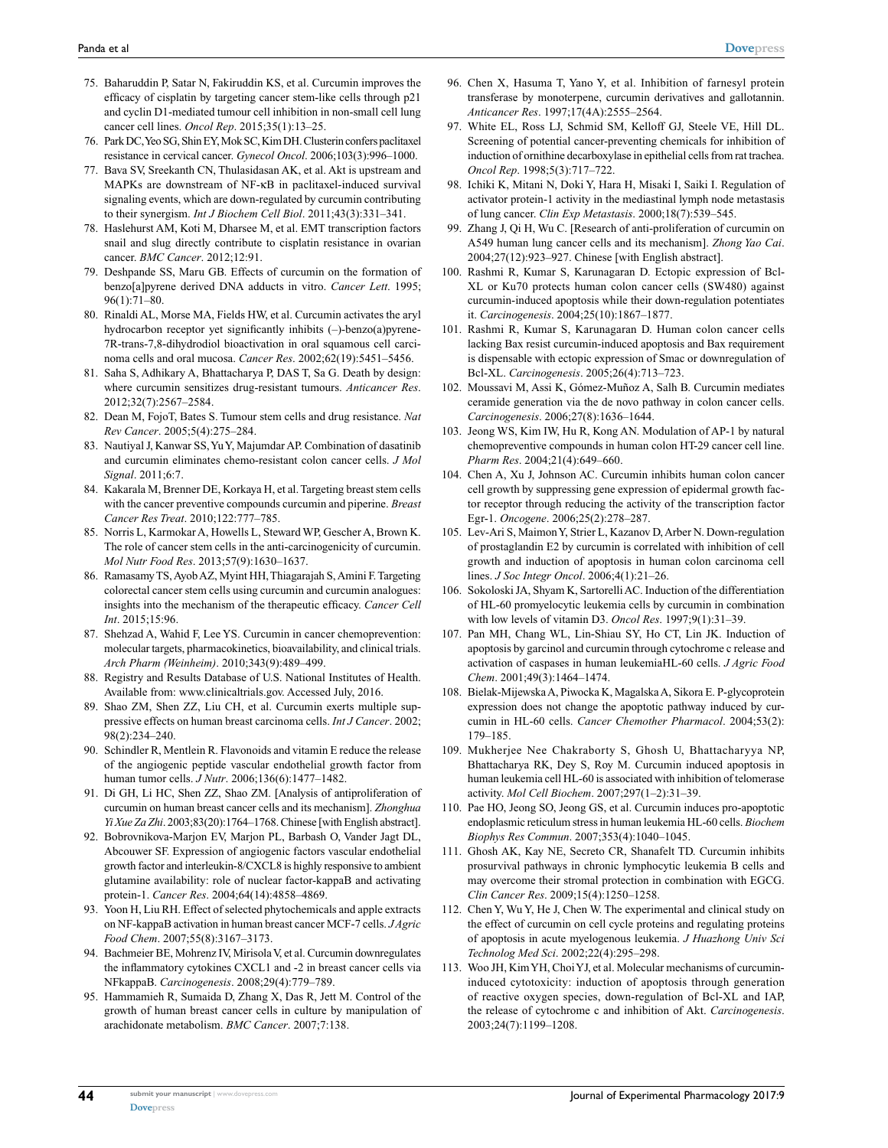- 75. Baharuddin P, Satar N, Fakiruddin KS, et al. Curcumin improves the efficacy of cisplatin by targeting cancer stem-like cells through p21 and cyclin D1-mediated tumour cell inhibition in non-small cell lung cancer cell lines. *Oncol Rep*. 2015;35(1):13–25.
- 76. Park DC, Yeo SG, Shin EY, Mok SC, Kim DH. Clusterin confers paclitaxel resistance in cervical cancer. *Gynecol Oncol*. 2006;103(3):996–1000.
- 77. Bava SV, Sreekanth CN, Thulasidasan AK, et al. Akt is upstream and MAPKs are downstream of NF-κB in paclitaxel-induced survival signaling events, which are down-regulated by curcumin contributing to their synergism. *Int J Biochem Cell Biol*. 2011;43(3):331–341.
- 78. Haslehurst AM, Koti M, Dharsee M, et al. EMT transcription factors snail and slug directly contribute to cisplatin resistance in ovarian cancer. *BMC Cancer*. 2012;12:91.
- 79. Deshpande SS, Maru GB. Effects of curcumin on the formation of benzo[a]pyrene derived DNA adducts in vitro. *Cancer Lett*. 1995; 96(1):71–80.
- 80. Rinaldi AL, Morse MA, Fields HW, et al. Curcumin activates the aryl hydrocarbon receptor yet significantly inhibits (–)-benzo(a)pyrene-7R-trans-7,8-dihydrodiol bioactivation in oral squamous cell carcinoma cells and oral mucosa. *Cancer Res*. 2002;62(19):5451–5456.
- 81. Saha S, Adhikary A, Bhattacharya P, DAS T, Sa G. Death by design: where curcumin sensitizes drug-resistant tumours. *Anticancer Res*. 2012;32(7):2567–2584.
- 82. Dean M, FojoT, Bates S. Tumour stem cells and drug resistance. *Nat Rev Cancer*. 2005;5(4):275–284.
- 83. Nautiyal J, Kanwar SS, Yu Y, Majumdar AP. Combination of dasatinib and curcumin eliminates chemo-resistant colon cancer cells. *J Mol Signal*. 2011;6:7.
- 84. Kakarala M, Brenner DE, Korkaya H, et al. Targeting breast stem cells with the cancer preventive compounds curcumin and piperine. *Breast Cancer Res Treat*. 2010;122:777–785.
- 85. Norris L, Karmokar A, Howells L, Steward WP, Gescher A, Brown K. The role of cancer stem cells in the anti-carcinogenicity of curcumin. *Mol Nutr Food Res*. 2013;57(9):1630–1637.
- 86. Ramasamy TS, Ayob AZ, Myint HH, Thiagarajah S, Amini F. Targeting colorectal cancer stem cells using curcumin and curcumin analogues: insights into the mechanism of the therapeutic efficacy. *Cancer Cell Int*. 2015;15:96.
- 87. Shehzad A, Wahid F, Lee YS. Curcumin in cancer chemoprevention: molecular targets, pharmacokinetics, bioavailability, and clinical trials. *Arch Pharm (Weinheim)*. 2010;343(9):489–499.
- 88. Registry and Results Database of U.S. National Institutes of Health. Available from: <www.clinicaltrials.gov>. Accessed July, 2016.
- 89. Shao ZM, Shen ZZ, Liu CH, et al. Curcumin exerts multiple suppressive effects on human breast carcinoma cells. *Int J Cancer*. 2002; 98(2):234–240.
- 90. Schindler R, Mentlein R. Flavonoids and vitamin E reduce the release of the angiogenic peptide vascular endothelial growth factor from human tumor cells. *J Nutr*. 2006;136(6):1477–1482.
- 91. Di GH, Li HC, Shen ZZ, Shao ZM. [Analysis of antiproliferation of curcumin on human breast cancer cells and its mechanism]. *Zhonghua Yi Xue Za Zhi*. 2003;83(20):1764–1768. Chinese [with English abstract].
- 92. Bobrovnikova-Marjon EV, Marjon PL, Barbash O, Vander Jagt DL, Abcouwer SF. Expression of angiogenic factors vascular endothelial growth factor and interleukin-8/CXCL8 is highly responsive to ambient glutamine availability: role of nuclear factor-kappaB and activating protein-1. *Cancer Res*. 2004;64(14):4858–4869.
- 93. Yoon H, Liu RH. Effect of selected phytochemicals and apple extracts on NF-kappaB activation in human breast cancer MCF-7 cells. *J Agric Food Chem*. 2007;55(8):3167–3173.
- 94. Bachmeier BE, Mohrenz IV, Mirisola V, et al. Curcumin downregulates the inflammatory cytokines CXCL1 and -2 in breast cancer cells via NFkappaB. *Carcinogenesis*. 2008;29(4):779–789.
- 95. Hammamieh R, Sumaida D, Zhang X, Das R, Jett M. Control of the growth of human breast cancer cells in culture by manipulation of arachidonate metabolism. *BMC Cancer*. 2007;7:138.
- 96. Chen X, Hasuma T, Yano Y, et al. Inhibition of farnesyl protein transferase by monoterpene, curcumin derivatives and gallotannin. *Anticancer Res*. 1997;17(4A):2555–2564.
- 97. White EL, Ross LJ, Schmid SM, Kelloff GJ, Steele VE, Hill DL. Screening of potential cancer-preventing chemicals for inhibition of induction of ornithine decarboxylase in epithelial cells from rat trachea. *Oncol Rep*. 1998;5(3):717–722.
- 98. Ichiki K, Mitani N, Doki Y, Hara H, Misaki I, Saiki I. Regulation of activator protein-1 activity in the mediastinal lymph node metastasis of lung cancer. *Clin Exp Metastasis*. 2000;18(7):539–545.
- 99. Zhang J, Qi H, Wu C. [Research of anti-proliferation of curcumin on A549 human lung cancer cells and its mechanism]. *Zhong Yao Cai*. 2004;27(12):923–927. Chinese [with English abstract].
- 100. Rashmi R, Kumar S, Karunagaran D. Ectopic expression of Bcl-XL or Ku70 protects human colon cancer cells (SW480) against curcumin-induced apoptosis while their down-regulation potentiates it. *Carcinogenesis*. 2004;25(10):1867–1877.
- 101. Rashmi R, Kumar S, Karunagaran D. Human colon cancer cells lacking Bax resist curcumin-induced apoptosis and Bax requirement is dispensable with ectopic expression of Smac or downregulation of Bcl-XL. *Carcinogenesis*. 2005;26(4):713–723.
- 102. Moussavi M, Assi K, Gómez-Muñoz A, Salh B. Curcumin mediates ceramide generation via the de novo pathway in colon cancer cells. *Carcinogenesis*. 2006;27(8):1636–1644.
- 103. Jeong WS, Kim IW, Hu R, Kong AN. Modulation of AP-1 by natural chemopreventive compounds in human colon HT-29 cancer cell line. *Pharm Res*. 2004;21(4):649–660.
- 104. Chen A, Xu J, Johnson AC. Curcumin inhibits human colon cancer cell growth by suppressing gene expression of epidermal growth factor receptor through reducing the activity of the transcription factor Egr-1. *Oncogene*. 2006;25(2):278–287.
- 105. Lev-Ari S, Maimon Y, Strier L, Kazanov D, Arber N. Down-regulation of prostaglandin E2 by curcumin is correlated with inhibition of cell growth and induction of apoptosis in human colon carcinoma cell lines. *J Soc Integr Oncol*. 2006;4(1):21–26.
- 106. Sokoloski JA, Shyam K, Sartorelli AC. Induction of the differentiation of HL-60 promyelocytic leukemia cells by curcumin in combination with low levels of vitamin D3. *Oncol Res*. 1997;9(1):31–39.
- 107. Pan MH, Chang WL, Lin-Shiau SY, Ho CT, Lin JK. Induction of apoptosis by garcinol and curcumin through cytochrome c release and activation of caspases in human leukemiaHL-60 cells. *J Agric Food Chem*. 2001;49(3):1464–1474.
- 108. Bielak-Mijewska A, Piwocka K, Magalska A, Sikora E. P-glycoprotein expression does not change the apoptotic pathway induced by curcumin in HL-60 cells. *Cancer Chemother Pharmacol*. 2004;53(2): 179–185.
- 109. Mukherjee Nee Chakraborty S, Ghosh U, Bhattacharyya NP, Bhattacharya RK, Dey S, Roy M. Curcumin induced apoptosis in human leukemia cell HL-60 is associated with inhibition of telomerase activity. *Mol Cell Biochem*. 2007;297(1–2):31–39.
- 110. Pae HO, Jeong SO, Jeong GS, et al. Curcumin induces pro-apoptotic endoplasmic reticulum stress in human leukemia HL-60 cells. *Biochem Biophys Res Commun*. 2007;353(4):1040–1045.
- 111. Ghosh AK, Kay NE, Secreto CR, Shanafelt TD. Curcumin inhibits prosurvival pathways in chronic lymphocytic leukemia B cells and may overcome their stromal protection in combination with EGCG. *Clin Cancer Res*. 2009;15(4):1250–1258.
- 112. Chen Y, Wu Y, He J, Chen W. The experimental and clinical study on the effect of curcumin on cell cycle proteins and regulating proteins of apoptosis in acute myelogenous leukemia. *J Huazhong Univ Sci Technolog Med Sci*. 2002;22(4):295–298.
- 113. Woo JH, Kim YH, Choi YJ, et al. Molecular mechanisms of curcumininduced cytotoxicity: induction of apoptosis through generation of reactive oxygen species, down-regulation of Bcl-XL and IAP, the release of cytochrome c and inhibition of Akt. *Carcinogenesis*. 2003;24(7):1199–1208.